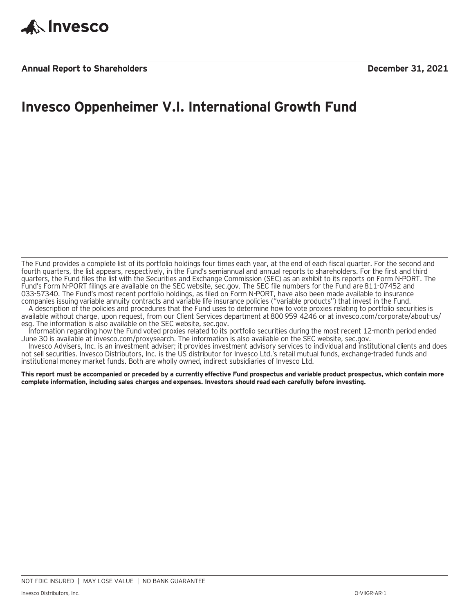

## **Invesco Oppenheimer V.I. International Growth Fund**

The Fund provides a complete list of its portfolio holdings four times each year, at the end of each fiscal quarter. For the second and fourth quarters, the list appears, respectively, in the Fund's semiannual and annual reports to shareholders. For the first and third quarters, the Fund files the list with the Securities and Exchange Commission (SEC) as an exhibit to its reports on Form N-PORT. The Fund's Form N-PORT filings are available on the SEC website, sec.gov. The SEC file numbers for the Fund are 811-07452 and 033-57340. The Fund's most recent portfolio holdings, as filed on Form N-PORT, have also been made available to insurance companies issuing variable annuity contracts and variable life insurance policies ("variable products") that invest in the Fund.

A description of the policies and procedures that the Fund uses to determine how to vote proxies relating to portfolio securities is available without charge, upon request, from our Client Services department at 800 959 4246 or at invesco.com/corporate/about-us/ esg. The information is also available on the SEC website, sec.gov.

Information regarding how the Fund voted proxies related to its portfolio securities during the most recent 12-month period ended June 30 is available at invesco.com/proxysearch. The information is also available on the SEC website, sec.gov.

Invesco Advisers, Inc. is an investment adviser; it provides investment advisory services to individual and institutional clients and does not sell securities. Invesco Distributors, Inc. is the US distributor for Invesco Ltd.'s retail mutual funds, exchange-traded funds and institutional money market funds. Both are wholly owned, indirect subsidiaries of Invesco Ltd.

**This report must be accompanied or preceded by a currently effective Fund prospectus and variable product prospectus, which contain more complete information, including sales charges and expenses. Investors should read each carefully before investing.**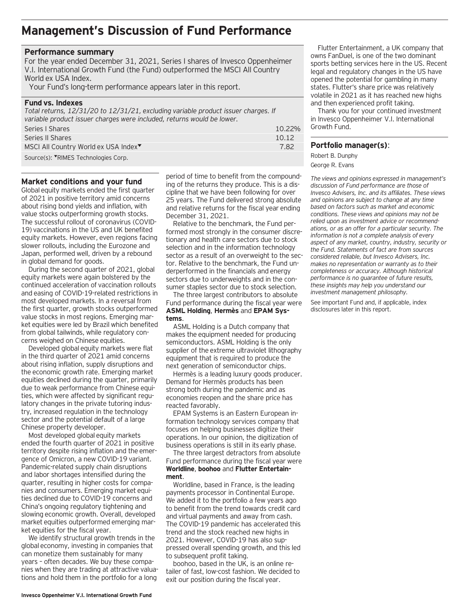### **Management's Discussion of Fund Performance**

#### **Performance summary**

For the year ended December 31, 2021, Series I shares of Invesco Oppenheimer V.I. International Growth Fund (the Fund) outperformed the MSCI All Country World ex USA Index.

Your Fund's long-term performance appears later in this report.

#### **Fund vs. Indexes**

*Total returns, 12/31/20 to 12/31/21, excluding variable product issuer charges. If variable product issuer charges were included, returns would be lower.*

| Series I Shares                                  | $10.22\%$ |
|--------------------------------------------------|-----------|
| Series II Shares                                 | 10.12     |
| MSCI All Country World ex USA Index <sup>▼</sup> | 7 82      |
| Source(s): <b>▼RIMES</b> Technologies Corp.      |           |

#### **Market conditions and your fund**

Global equity markets ended the first quarter of 2021 in positive territory amid concerns about rising bond yields and inflation, with value stocks outperforming growth stocks. The successful rollout of coronavirus (COVID-19) vaccinations in the US and UK benefited equity markets. However, even regions facing slower rollouts, including the Eurozone and Japan, performed well, driven by a rebound in global demand for goods.

During the second quarter of 2021, global equity markets were again bolstered by the continued acceleration of vaccination rollouts and easing of COVID-19-related restrictions in most developed markets. In a reversal from the first quarter, growth stocks outperformed value stocks in most regions. Emerging market equities were led by Brazil which benefited from global tailwinds, while regulatory concerns weighed on Chinese equities.

Developed global equity markets were flat in the third quarter of 2021 amid concerns about rising inflation, supply disruptions and the economic growth rate. Emerging market equities declined during the quarter, primarily due to weak performance from Chinese equities, which were affected by significant regulatory changes in the private tutoring industry, increased regulation in the technology sector and the potential default of a large Chinese property developer.

Most developed global equity markets ended the fourth quarter of 2021 in positive territory despite rising inflation and the emergence of Omicron, a new COVID-19 variant. Pandemic-related supply chain disruptions and labor shortages intensified during the quarter, resulting in higher costs for companies and consumers. Emerging market equities declined due to COVID-19 concerns and China's ongoing regulatory tightening and slowing economic growth. Overall, developed market equities outperformed emerging market equities for the fiscal year.

We identify structural growth trends in the global economy, investing in companies that can monetize them sustainably for many years – often decades. We buy these companies when they are trading at attractive valuations and hold them in the portfolio for a long

period of time to benefit from the compounding of the returns they produce. This is a discipline that we have been following for over 25 years. The Fund delivered strong absolute and relative returns for the fiscal year ending December 31, 2021.

Relative to the benchmark, the Fund performed most strongly in the consumer discretionary and health care sectors due to stock selection and in the information technology sector as a result of an overweight to the sector. Relative to the benchmark, the Fund underperformed in the financials and energy sectors due to underweights and in the consumer staples sector due to stock selection.

The three largest contributors to absolute Fund performance during the fiscal year were **ASML Holding**, **Hermès** and **EPAM Systems**.

ASML Holding is a Dutch company that makes the equipment needed for producing semiconductors. ASML Holding is the only supplier of the extreme ultraviolet lithography equipment that is required to produce the next generation of semiconductor chips.

Hermès is a leading luxury goods producer. Demand for Hermès products has been strong both during the pandemic and as economies reopen and the share price has reacted favorably.

EPAM Systems is an Eastern European information technology services company that focuses on helping businesses digitize their operations. In our opinion, the digitization of business operations is still in its early phase.

The three largest detractors from absolute Fund performance during the fiscal year were **Worldline**, **boohoo** and **Flutter Entertainment**.

Worldline, based in France, is the leading payments processor in Continental Europe. We added it to the portfolio a few years ago to benefit from the trend towards credit card and virtual payments and away from cash. The COVID-19 pandemic has accelerated this trend and the stock reached new highs in 2021. However, COVID-19 has also suppressed overall spending growth, and this led to subsequent profit taking.

boohoo, based in the UK, is an online retailer of fast, low-cost fashion. We decided to exit our position during the fiscal year.

Flutter Entertainment, a UK company that owns FanDuel, is one of the two dominant sports betting services here in the US. Recent legal and regulatory changes in the US have opened the potential for gambling in many states. Flutter's share price was relatively volatile in 2021 as it has reached new highs and then experienced profit taking.

Thank you for your continued investment in Invesco Oppenheimer V.I. International Growth Fund.

#### **Portfolio manager(s)**:

Robert B. Dunphy George R. Evans

*The views and opinions expressed in management's discussion of Fund performance are those of Invesco Advisers, Inc. and its affiliates. These views and opinions are subject to change at any time based on factors such as market and economic conditions. These views and opinions may not be relied upon as investment advice or recommendations, or as an offer for a particular security. The information is not a complete analysis of every aspect of any market, country, industry, security or the Fund. Statements of fact are from sources considered reliable, but Invesco Advisers, Inc. makes no representation or warranty as to their completeness or accuracy. Although historical performance is no guarantee of future results, these insights may help you understand our investment management philosophy.*

See important Fund and, if applicable, index disclosures later in this report.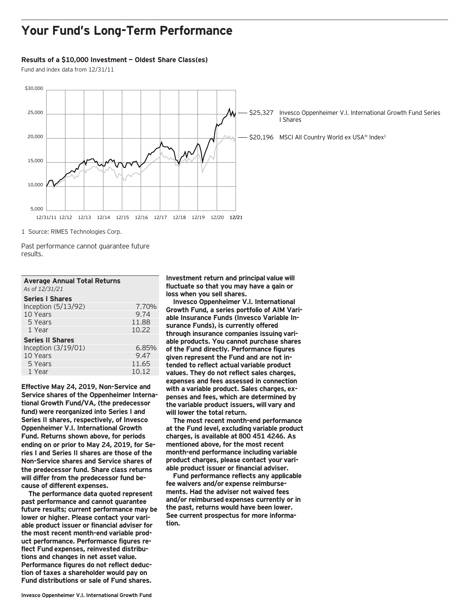### **Your Fund's Long-Term Performance**

#### **Results of a \$10,000 Investment — Oldest Share Class(es)**

Fund and index data from 12/31/11



1 Source: RIMES Technologies Corp.

Past performance cannot guarantee future results.

| <b>Average Annual Total Returns</b> |       |
|-------------------------------------|-------|
| As of 12/31/21                      |       |
| <b>Series I Shares</b>              |       |
| Inception $(5/13/92)$               | 7.70% |
|                                     |       |

| 10 Years                | 9.74  |
|-------------------------|-------|
| 5 Years                 | 11.88 |
| 1 Year                  | 10.22 |
| <b>Series II Shares</b> |       |
| Inception (3/19/01)     | 6.85% |
| 10 Years                | 9.47  |
| 5 Years                 | 11.65 |
| 1 Year                  | 10.12 |
|                         |       |

**Effective May 24, 2019, Non-Service and Service shares of the Oppenheimer International Growth Fund/VA, (the predecessor fund) were reorganized into Series I and Series II shares, respectively, of Invesco Oppenheimer V.I. International Growth Fund. Returns shown above, for periods ending on or prior to May 24, 2019, for Series I and Series II shares are those of the Non-Service shares and Service shares of the predecessor fund. Share class returns will differ from the predecessor fund because of different expenses.**

**The performance data quoted represent past performance and cannot guarantee future results; current performance may be lower or higher. Please contact your variable product issuer or financial adviser for the most recent month-end variable product performance. Performance figures reflect Fund expenses, reinvested distributions and changes in net asset value. Performance figures do not reflect deduction of taxes a shareholder would pay on Fund distributions or sale of Fund shares.**

**Investment return and principal value will fluctuate so that you may have a gain or loss when you sell shares.**

**Invesco Oppenheimer V.I. International Growth Fund, a series portfolio of AIM Variable Insurance Funds (Invesco Variable Insurance Funds), is currently offered through insurance companies issuing variable products. You cannot purchase shares of the Fund directly. Performance figures given represent the Fund and are not intended to reflect actual variable product values. They do not reflect sales charges, expenses and fees assessed in connection with a variable product. Sales charges, expenses and fees, which are determined by the variable product issuers, will vary and will lower the total return.**

**The most recent month-end performance at the Fund level, excluding variable product charges, is available at 800 451 4246. As mentioned above, for the most recent month-end performance including variable product charges, please contact your variable product issuer or financial adviser.**

**Fund performance reflects any applicable fee waivers and/or expense reimbursements. Had the adviser not waived fees and/or reimbursed expenses currently or in the past, returns would have been lower. See current prospectus for more information.**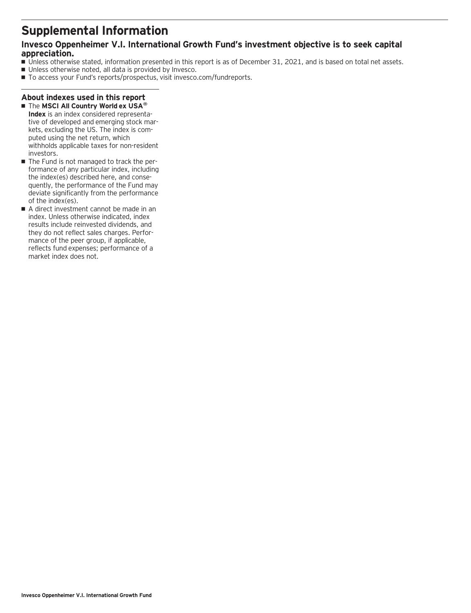### **Supplemental Information**

### **Invesco Oppenheimer V.I. International Growth Fund's investment objective is to seek capital appreciation.**

- Unless otherwise stated, information presented in this report is as of December 31, 2021, and is based on total net assets.
- Unless otherwise noted, all data is provided by Invesco.
- To access your Fund's reports/prospectus, visit invesco.com/fundreports.

### **About indexes used in this report**

- The **MSCI All Country World ex USA® Index** is an index considered representative of developed and emerging stock markets, excluding the US. The index is computed using the net return, which withholds applicable taxes for non-resident investors.
- The Fund is not managed to track the performance of any particular index, including the index(es) described here, and consequently, the performance of the Fund may deviate significantly from the performance of the index(es).
- A direct investment cannot be made in an index. Unless otherwise indicated, index results include reinvested dividends, and they do not reflect sales charges. Performance of the peer group, if applicable, reflects fund expenses; performance of a market index does not.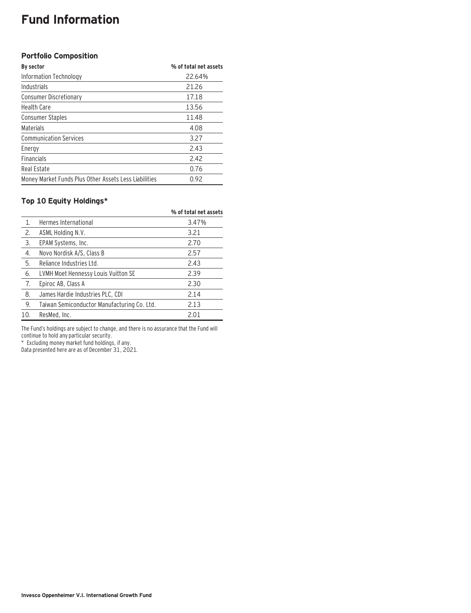# **Fund Information**

### **Portfolio Composition**

| By sector                                             | % of total net assets |
|-------------------------------------------------------|-----------------------|
| Information Technology                                | 22.64%                |
| Industrials                                           | 21.26                 |
| <b>Consumer Discretionary</b>                         | 17.18                 |
| <b>Health Care</b>                                    | 13.56                 |
| <b>Consumer Staples</b>                               | 11.48                 |
| Materials                                             | 4.08                  |
| <b>Communication Services</b>                         | 3.27                  |
| Energy                                                | 2.43                  |
| <b>Financials</b>                                     | 2.42                  |
| Real Estate                                           | 0.76                  |
| Money Market Funds Plus Other Assets Less Liabilities | 0.92                  |

### **Top 10 Equity Holdings\***

|                  |                                             | % of total net assets |
|------------------|---------------------------------------------|-----------------------|
| $\mathbf{1}$ .   | Hermes International                        | 3.47%                 |
| 2.               | ASML Holding N.V.                           | 3.21                  |
| 3.               | EPAM Systems, Inc.                          | 2.70                  |
| $\overline{4}$ . | Novo Nordisk A/S, Class B                   | 2.57                  |
| 5.               | Reliance Industries Ltd.                    | 2.43                  |
| 6.               | LVMH Moet Hennessy Louis Vuitton SE         | 2.39                  |
| 7.               | Epiroc AB, Class A                          | 2.30                  |
| 8.               | James Hardie Industries PLC, CDI            | 2.14                  |
| 9.               | Taiwan Semiconductor Manufacturing Co. Ltd. | 2.13                  |
| 10.              | ResMed, Inc.                                | 2.01                  |

The Fund's holdings are subject to change, and there is no assurance that the Fund will continue to hold any particular security.

\* Excluding money market fund holdings, if any.

Data presented here are as of December 31, 2021.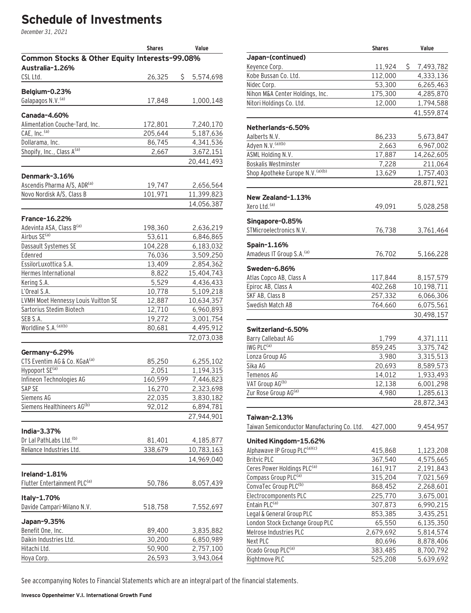# **Schedule of Investments**

December 31, 2021

|                                                          | <b>Shares</b> | Value                  |
|----------------------------------------------------------|---------------|------------------------|
| Common Stocks & Other Equity Interests-99.08%            |               |                        |
| Australia-1.26%                                          |               |                        |
| CSL Ltd.                                                 | 26,325        | \$<br>5,574,698        |
|                                                          |               |                        |
| Belgium-0.23%<br>Galapagos N.V. <sup>(a)</sup>           |               |                        |
|                                                          | 17,848        | 1,000,148              |
| <b>Canada-4.60%</b>                                      |               |                        |
| Alimentation Couche-Tard, Inc.                           | 172,801       | 7,240,170              |
| CAE, Inc. <sup>(a)</sup>                                 | 205,644       | 5,187,636              |
| Dollarama, Inc.                                          | 86,745        | 4,341,536              |
| Shopify, Inc., Class A(a)                                | 2,667         | 3,672,151              |
|                                                          |               | 20,441,493             |
|                                                          |               |                        |
| Denmark-3.16%                                            |               |                        |
| Ascendis Pharma A/S, ADR(a)<br>Novo Nordisk A/S, Class B | 19,747        | 2,656,564              |
|                                                          | 101,971       | 11,399,823             |
|                                                          |               | 14,056,387             |
| <b>France-16.22%</b>                                     |               |                        |
| Adevinta ASA, Class B(a)                                 | 198,360       | 2,636,219              |
| Airbus SE <sup>(a)</sup>                                 | 53,611        | 6,846,865              |
| Dassault Systemes SE                                     | 104,228       | 6,183,032              |
| Edenred                                                  | 76,036        | 3,509,250              |
| EssilorLuxottica S.A.                                    | 13,409        | 2,854,362              |
| Hermes International                                     | 8,822         | 15,404,743             |
| Kering S.A.                                              | 5,529         | 4,436,433              |
| L'Oreal S.A.                                             | 10,778        | 5,109,218              |
| LVMH Moet Hennessy Louis Vuitton SE                      | 12,887        | 10,634,357             |
| Sartorius Stedim Biotech                                 | 12,710        | 6,960,893              |
| SEB S.A.                                                 | 19,272        | 3,001,754              |
| Worldline S.A. (a)(b)                                    | 80,681        | 4,495,912              |
|                                                          |               | 72,073,038             |
| Germany-6.29%                                            |               |                        |
| CTS Eventim AG & Co. KGaA <sup>(a)</sup>                 | 85,250        | 6,255,102              |
| Hypoport SE <sup>(a)</sup>                               | 2,051         | 1,194,315              |
| Infineon Technologies AG                                 | 160,599       | 7,446,823              |
| SAP SE                                                   | 16,270        | 2,323,698              |
| Siemens AG                                               | 22,035        | 3,830,182              |
| Siemens Healthineers AG(b)                               | 92,012        | 6,894,781              |
|                                                          |               | 27,944,901             |
|                                                          |               |                        |
| India-3.37%                                              |               |                        |
| Dr Lal PathLabs Ltd. <sup>(b)</sup>                      | 81,401        | 4,185,877              |
| Reliance Industries Ltd.                                 | 338,679       | 10,783,163             |
|                                                          |               | 14,969,040             |
| Ireland-1.81%                                            |               |                        |
| Flutter Entertainment PLC <sup>(a)</sup>                 | 50,786        | 8,057,439              |
|                                                          |               |                        |
| Italy-1.70%                                              |               |                        |
| Davide Campari-Milano N.V.                               | 518,758       | 7,552,697              |
|                                                          |               |                        |
| Japan-9.35%<br>Benefit One, Inc.                         | 89,400        |                        |
| Daikin Industries Ltd.                                   | 30,200        | 3,835,882<br>6,850,989 |
| Hitachi Ltd.                                             | 50,900        | 2,757,100              |
| Hoya Corp.                                               | 26,593        | 3,943,064              |
|                                                          |               |                        |

|                                             | <b>Shares</b> | Value           |
|---------------------------------------------|---------------|-----------------|
| Japan-(continued)                           |               |                 |
| Keyence Corp.                               | 11,924        | \$<br>7,493,782 |
| Kobe Bussan Co. Ltd.                        | 112,000       | 4,333,136       |
| Nidec Corp.                                 | 53,300        | 6,265,463       |
| Nihon M&A Center Holdings, Inc.             | 175,300       | 4,285,870       |
| Nitori Holdings Co. Ltd.                    | 12,000        | 1,794,588       |
|                                             |               | 41,559,874      |
|                                             |               |                 |
| Netherlands-6.50%                           |               |                 |
| Aalberts N.V.                               | 86,233        | 5,673,847       |
| Adyen N.V. (a)(b)                           | 2,663         | 6,967,002       |
| ASML Holding N.V.                           | 17,887        | 14,262,605      |
| Boskalis Westminster                        | 7,228         | 211,064         |
| Shop Apotheke Europe N.V. (a)(b)            | 13,629        | 1,757,403       |
|                                             |               | 28,871,921      |
| New Zealand-1.13%                           |               |                 |
| Xero Ltd. <sup>(a)</sup>                    | 49,091        | 5,028,258       |
|                                             |               |                 |
| Singapore-0.85%                             |               |                 |
| STMicroelectronics N.V.                     | 76,738        | 3,761,464       |
| Spain-1.16%                                 |               |                 |
| Amadeus IT Group S.A. (a)                   | 76,702        | 5,166,228       |
|                                             |               |                 |
| Sweden-6.86%                                |               |                 |
| Atlas Copco AB, Class A                     | 117,844       | 8,157,579       |
| Epiroc AB, Class A                          | 402,268       | 10,198,711      |
| SKF AB, Class B                             | 257,332       | 6,066,306       |
| Swedish Match AB                            | 764,660       | 6,075,561       |
|                                             |               | 30,498,157      |
| Switzerland-6.50%                           |               |                 |
| Barry Callebaut AG                          | 1,799         | 4,371,111       |
| IWG PLC <sup>(a)</sup>                      | 859,245       | 3,375,742       |
| Lonza Group AG                              | 3,980         | 3,315,513       |
| Sika AG                                     | 20,693        | 8,589,573       |
| Temenos AG                                  | 14,012        | 1,933,493       |
| VAT Group AG(b)                             | 12,138        | 6,001,298       |
| Zur Rose Group AG(a)                        | 4,980         | 1,285,613       |
|                                             |               | 28,872,343      |
|                                             |               |                 |
| Taiwan-2.13%                                |               |                 |
| Taiwan Semiconductor Manufacturing Co. Ltd. | 427,000       | 9,454,957       |
| United Kingdom-15.62%                       |               |                 |
| Alphawave IP Group PLC(a)(c)                | 415,868       | 1,123,208       |
| <b>Britvic PLC</b>                          | 367,540       | 4,575,665       |
| Ceres Power Holdings PLC <sup>(a)</sup>     | 161,917       | 2,191,843       |
| Compass Group PLC <sup>(a)</sup>            | 315,204       | 7,021,569       |
| ConvaTec Group PLC <sup>(b)</sup>           | 868,452       | 2,268,601       |
| Electrocomponents PLC                       | 225,770       | 3,675,001       |
| Entain PLC <sup>(a)</sup>                   | 307,873       | 6,990,215       |
| Legal & General Group PLC                   | 853,385       | 3,435,251       |
| London Stock Exchange Group PLC             | 65,550        | 6,135,350       |
| Melrose Industries PLC                      | 2,679,692     | 5,814,574       |
| Next PLC                                    | 80,696        | 8,878,406       |
| Ocado Group PLC <sup>(a)</sup>              | 383,485       | 8,700,792       |
| Rightmove PLC                               | 525,208       | 5,639,692       |

See accompanying Notes to Financial Statements which are an integral part of the financial statements.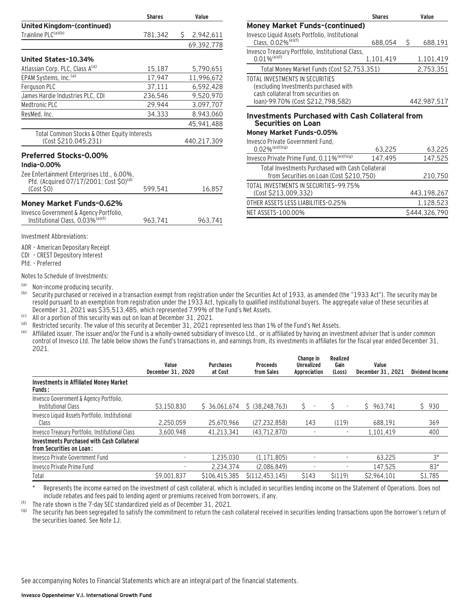|                                                                                                                                                                   | <b>Shares</b> | Value       |
|-------------------------------------------------------------------------------------------------------------------------------------------------------------------|---------------|-------------|
| United Kingdom-(continued)                                                                                                                                        |               |             |
| Trainline PLC <sup>(a)(b)</sup>                                                                                                                                   | 781,342       | \$2,942,611 |
|                                                                                                                                                                   |               | 69,392,778  |
| United States-10.34%                                                                                                                                              |               |             |
| Atlassian Corp. PLC, Class A <sup>(a)</sup>                                                                                                                       | 15,187        | 5,790,651   |
| EPAM Systems, Inc. <sup>(a)</sup>                                                                                                                                 | 17,947        | 11,996,672  |
| Ferguson PLC                                                                                                                                                      | 37,111        | 6,592,428   |
| James Hardie Industries PLC, CDI                                                                                                                                  | 236,546       | 9,520,970   |
| Medtronic PLC                                                                                                                                                     | 29,944        | 3,097,707   |
| ResMed, Inc.                                                                                                                                                      | 34,333        | 8,943,060   |
|                                                                                                                                                                   |               | 45,941,488  |
| Total Common Stocks & Other Equity Interests<br>(Cost \$210,045,231)                                                                                              |               | 440,217,309 |
| <b>Preferred Stocks-0.00%</b><br>India-0.00%<br>Zee Entertainment Enterprises Ltd., 6.00%,<br>Pfd. (Acquired 07/17/2001; Cost \$0) <sup>(d)</sup><br>$(Cost$ \$0) | 599,541       | 16,857      |
| <b>Money Market Funds-0.62%</b><br>Invesco Government & Agency Portfolio,<br>Institutional Class, 0.03% <sup>(e)(f)</sup>                                         | 963,741       | 963,741     |
| Investment Abbreviations:                                                                                                                                         |               |             |

**Shares Value Money Market Funds–(continued)** Invesco Liquid Assets Portfolio, Institutional Class,  $0.02\%^{(e)(f)}$  688,054 \$ 688,191 Invesco Treasury Portfolio, Institutional Class, 0.01%<sup>(e)(f)</sup> 1,101,419 1,101,419 Total Money Market Funds (Cost \$2,753,351) 2,753,351 TOTAL INVESTMENTS IN SECURITIES (excluding Investments purchased with cash collateral from securities on loan)-99.70% (Cost \$212,798,582) 442,987,517 **Investments Purchased with Cash Collateral from Securities on Loan Money Market Funds–0.05%** Invesco Private Government Fund,

### $0.02\%$ <sup>(e)(f)(g)</sup> 63,225 63,225 Invesco Private Prime Fund,  $0.11\%^{(e)(f)(g)}$  147,495 147,525 Total Investments Purchased with Cash Collateral from Securities on Loan (Cost \$210,750) 210,750 TOTAL INVESTMENTS IN SECURITIES—99.75% (Cost \$213,009,332) 443,198,267 OTHER ASSETS LESS LIABILITIES-0.25% 1,128,523 NET ASSETS-100.00% \$444,326,790

ADR – American Depositary Receipt

CDI – CREST Depository Interest

Pfd. – Preferred

Notes to Schedule of Investments:

(a) Non-income producing security.<br>(b) Security purchased or received in

Security purchased or received in a transaction exempt from registration under the Securities Act of 1933, as amended (the "1933 Act"). The security may be resold pursuant to an exemption from registration under the 1933 Act, typically to qualified institutional buyers. The aggregate value of these securities at December 31, 2021 was \$35,513,485, which represented 7.99% of the Fund's Net Assets.

(c) All or a portion of this security was out on loan at December 31, 2021.

(d) Restricted security. The value of this security at December 31, 2021 represented less than 1% of the Fund's Net Assets.<br>(e) Affiliated issues The issues and/or the Fund is a wholly-owned subsidiary of Invesse Ltd. or

Affiliated issuer. The issuer and/or the Fund is a wholly-owned subsidiary of Invesco Ltd., or is affiliated by having an investment adviser that is under common control of Invesco Ltd. The table below shows the Fund's transactions in, and earnings from, its investments in affiliates for the fiscal year ended December 31, 2021.

|                                                                               | Value<br>December 31, 2020 | <b>Purchases</b><br>at Cost | <b>Proceeds</b><br>from Sales | Change in<br><b>Unrealized</b><br>Appreciation | Realized<br>Gain<br>(Loss)     | Value<br>December 31, 2021 | <b>Dividend Income</b> |
|-------------------------------------------------------------------------------|----------------------------|-----------------------------|-------------------------------|------------------------------------------------|--------------------------------|----------------------------|------------------------|
| <b>Investments in Affiliated Money Market</b><br><b>Funds:</b>                |                            |                             |                               |                                                |                                |                            |                        |
| Invesco Government & Agency Portfolio,<br>Institutional Class                 | \$3.150.830                | \$36,061,674                | \$ (38.248.763)               | S.<br>$\overline{\phantom{a}}$                 | Ś.<br>$\overline{\phantom{a}}$ | \$963.741                  | \$930                  |
| Invesco Liquid Assets Portfolio, Institutional<br>Class                       | 2.250.059                  | 25.670.966                  | (27.232.858)                  | 143                                            | (119)                          | 688.191                    | 369                    |
| Invesco Treasury Portfolio, Institutional Class                               | 3.600.948                  | 41.213.341                  | (43.712.870)                  |                                                |                                | 1.101.419                  | 400                    |
| <b>Investments Purchased with Cash Collateral</b><br>from Securities on Loan: |                            |                             |                               |                                                |                                |                            |                        |
| Invesco Private Government Fund                                               |                            | 1.235.030                   | (1.171.805)                   |                                                |                                | 63.225                     | $3*$                   |
| Invesco Private Prime Fund                                                    |                            | 2.234.374                   | (2.086.849)                   |                                                |                                | 147.525                    | 83*                    |
| Total                                                                         | \$9.001.837                | \$106,415,385               | S(112.453.145)                | \$143                                          | S(119)                         | \$2.964.101                | \$1.785                |

Represents the income earned on the investment of cash collateral, which is included in securities lending income on the Statement of Operations. Does not include rebates and fees paid to lending agent or premiums received from borrowers, if any.

(f) The rate shown is the 7-day SEC standardized yield as of December 31, 2021.

The security has been segregated to satisfy the commitment to return the cash collateral received in securities lending transactions upon the borrower's return of the securities loaned. See Note 1J.

See accompanying Notes to Financial Statements which are an integral part of the financial statements.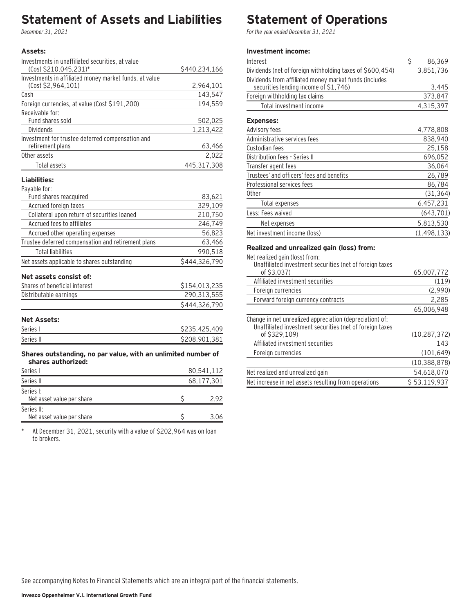### **Statement of Assets and Liabilities**

December 31, 2021

#### **Assets:**

| Investments in unaffiliated securities, at value       |               |
|--------------------------------------------------------|---------------|
| (Cost \$210,045,231)*                                  | \$440,234,166 |
| Investments in affiliated money market funds, at value |               |
| (Cost \$2.964.101)                                     | 2,964,101     |
| Cash                                                   | 143,547       |
| Foreign currencies, at value (Cost \$191,200)          | 194.559       |
| Receivable for:                                        |               |
| Fund shares sold                                       | 502,025       |
| Dividends                                              | 1,213,422     |
| Investment for trustee deferred compensation and       |               |
| retirement plans                                       | 63,466        |
| Other assets                                           | 2,022         |
| Total assets                                           | 445,317,308   |
| Liabilities:                                           |               |
| Payable for:                                           |               |
| Fund shares reacquired                                 | 83,621        |

| i unu shares reacquireu                            | 00,0LI        |
|----------------------------------------------------|---------------|
| Accrued foreign taxes                              | 329,109       |
| Collateral upon return of securities loaned        | 210,750       |
| Accrued fees to affiliates                         | 246,749       |
| Accrued other operating expenses                   | 56.823        |
| Trustee deferred compensation and retirement plans | 63,466        |
| <b>Total liabilities</b>                           | 990.518       |
| Net assets applicable to shares outstanding        | \$444,326,790 |
| Net assets consist of:                             |               |
| Shares of beneficial interest                      | \$154,013,235 |
| Distributable earnings                             | 290,313,555   |
|                                                    | \$444.326.790 |

### **Net Assets:**

| Series I  | \$235,425,409 |
|-----------|---------------|
| Series II | \$208.901.381 |

#### **Shares outstanding, no par value, with an unlimited number of shares authorized:**

| Series I                                | 80,541,112<br>68,177,301 |  |  |
|-----------------------------------------|--------------------------|--|--|
| Series II                               |                          |  |  |
| Series I:<br>Net asset value per share  | 2.92                     |  |  |
| Series II:<br>Net asset value per share | 3.06                     |  |  |

\* At December 31, 2021, security with a value of \$202,964 was on loan to brokers.

# **Statement of Operations**

For the year ended December 31, 2021

### **Investment income:**

| Interest                                                                                        | \$<br>86,369  |
|-------------------------------------------------------------------------------------------------|---------------|
| Dividends (net of foreign withholding taxes of \$600,454)                                       | 3,851,736     |
| Dividends from affiliated money market funds (includes<br>securities lending income of \$1,746) | 3,445         |
| Foreign withholding tax claims                                                                  | 373,847       |
| Total investment income                                                                         | 4,315,397     |
| <b>Expenses:</b>                                                                                |               |
| Advisory fees                                                                                   | 4,778,808     |
| Administrative services fees                                                                    | 838,940       |
| Custodian fees                                                                                  | 25.158        |
| Distribution fees - Series II                                                                   | 696,052       |
| Transfer agent fees                                                                             | 36,064        |
| Trustees' and officers' fees and benefits                                                       | 26,789        |
| Professional services fees                                                                      | 86,784        |
| Other                                                                                           | (31, 364)     |
| Total expenses                                                                                  | 6,457,231     |
| Less: Fees waived                                                                               | (643, 701)    |
| Net expenses                                                                                    | 5,813,530     |
| Net investment income (loss)                                                                    | (1, 498, 133) |

### **Realized and unrealized gain (loss) from:**

Net realized gain (loss) from:

| Unaffiliated investment securities (net of foreign taxes                                                             |                |
|----------------------------------------------------------------------------------------------------------------------|----------------|
| of \$3.037)                                                                                                          | 65,007,772     |
| Affiliated investment securities                                                                                     | (119)          |
| Foreign currencies                                                                                                   | (2,990)        |
| Forward foreign currency contracts                                                                                   | 2,285          |
|                                                                                                                      | 65,006,948     |
| Change in net unrealized appreciation (depreciation) of:<br>Unaffiliated investment securities (net of foreign taxes |                |
| of \$329.109)                                                                                                        | (10, 287, 372) |
| Affiliated investment securities                                                                                     | 143            |
| Foreign currencies                                                                                                   | (101, 649)     |
|                                                                                                                      | (10, 388, 878) |
| Net realized and unrealized gain                                                                                     | 54,618,070     |
| Net increase in net assets resulting from operations                                                                 | \$53,119,937   |
|                                                                                                                      |                |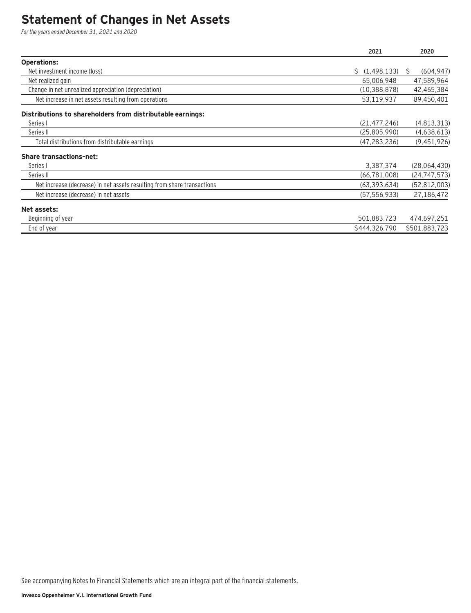### **Statement of Changes in Net Assets**

For the years ended December 31, 2021 and 2020

|                                                                         | 2021           | 2020            |
|-------------------------------------------------------------------------|----------------|-----------------|
| <b>Operations:</b>                                                      |                |                 |
| Net investment income (loss)                                            | \$(1,498,133)  | (604, 947)<br>S |
| Net realized gain                                                       | 65.006.948     | 47,589,964      |
| Change in net unrealized appreciation (depreciation)                    | (10, 388, 878) | 42,465,384      |
| Net increase in net assets resulting from operations                    | 53,119,937     | 89,450,401      |
| Distributions to shareholders from distributable earnings:              |                |                 |
| Series I                                                                | (21, 477, 246) | (4,813,313)     |
| Series II                                                               | (25,805,990)   | (4,638,613)     |
| Total distributions from distributable earnings                         | (47, 283, 236) | (9,451,926)     |
| <b>Share transactions-net:</b>                                          |                |                 |
| Series I                                                                | 3,387,374      | (28,064,430)    |
| Series II                                                               | (66, 781, 008) | (24, 747, 573)  |
| Net increase (decrease) in net assets resulting from share transactions | (63, 393, 634) | (52, 812, 003)  |
| Net increase (decrease) in net assets                                   | (57, 556, 933) | 27,186,472      |
| Net assets:                                                             |                |                 |
| Beginning of year                                                       | 501,883,723    | 474,697,251     |
| End of year                                                             | \$444,326,790  | \$501,883,723   |

See accompanying Notes to Financial Statements which are an integral part of the financial statements.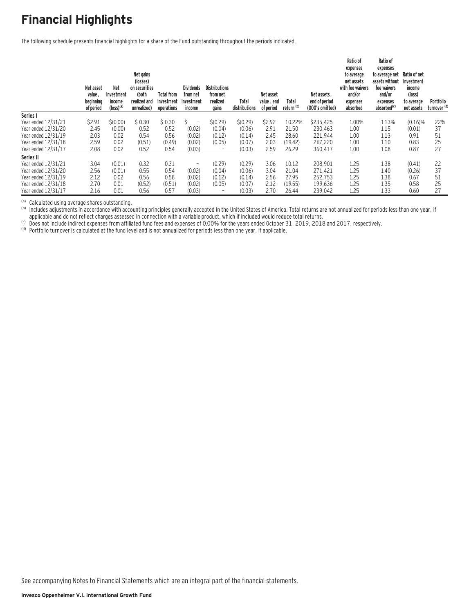# **Financial Highlights**

The following schedule presents financial highlights for a share of the Fund outstanding throughout the periods indicated.

|                     | Net asset<br>value,<br>beginning<br>of period | <b>Net</b><br>investment<br>income<br>$(logs)$ <sup>(a)</sup> | Net gains<br>(losses)<br>on securities<br>(both<br>realized and<br>unrealized) | <b>Total from</b><br>investment<br>operations | <b>Dividends</b><br>from net<br>investment<br>income | <b>Distributions</b><br>from net<br>realized<br>gains | Total<br>distributions | Net asset<br>value, end<br>of period | Total<br>return <sup>(b)</sup> | Net assets.<br>end of period<br>(000's omitted) | Ratio of<br>expenses<br>to average<br>net assets<br>with fee waivers<br>and/or<br>expenses<br>absorbed | Ratio of<br>expenses<br>to average net<br>assets without<br>fee waivers<br>and/or<br>expenses<br>absorbed <sup>(c)</sup> | Ratio of net<br>investment<br>income<br>(loss)<br>to average<br>net assets | Portfolio<br>turnover <sup>(d)</sup> |
|---------------------|-----------------------------------------------|---------------------------------------------------------------|--------------------------------------------------------------------------------|-----------------------------------------------|------------------------------------------------------|-------------------------------------------------------|------------------------|--------------------------------------|--------------------------------|-------------------------------------------------|--------------------------------------------------------------------------------------------------------|--------------------------------------------------------------------------------------------------------------------------|----------------------------------------------------------------------------|--------------------------------------|
| Series I            |                                               |                                                               |                                                                                |                                               |                                                      |                                                       |                        |                                      |                                |                                                 |                                                                                                        |                                                                                                                          |                                                                            |                                      |
| Year ended 12/31/21 | \$2.91                                        | \$(0.00)                                                      | \$0.30                                                                         | \$0.30                                        | $\overline{\phantom{a}}$                             | \$(0.29)                                              | \$(0.29)               | \$2.92                               | 10.22%                         | \$235,425                                       | 1.00%                                                                                                  | 1.13%                                                                                                                    | (0.16)%                                                                    | 22%                                  |
| Year ended 12/31/20 | 2.45                                          | (0.00)                                                        | 0.52                                                                           | 0.52                                          | (0.02)                                               | (0.04)                                                | (0.06)                 | 2.91                                 | 21.50                          | 230.463                                         | 1.00                                                                                                   | 1.15                                                                                                                     | (0.01)                                                                     | 37                                   |
| Year ended 12/31/19 | 2.03                                          | 0.02                                                          | 0.54                                                                           | 0.56                                          | (0.02)                                               | (0.12)                                                | (0.14)                 | 2.45                                 | 28.60                          | 221,944                                         | 1.00                                                                                                   | 1.13                                                                                                                     | 0.91                                                                       | 51                                   |
| Year ended 12/31/18 | 2.59                                          | 0.02                                                          | (0.51)                                                                         | (0.49)                                        | (0.02)                                               | (0.05)                                                | (0.07)                 | 2.03                                 | (19.42)                        | 267.220                                         | 1.00                                                                                                   | 1.10                                                                                                                     | 0.83                                                                       | 25                                   |
| Year ended 12/31/17 | 2.08                                          | 0.02                                                          | 0.52                                                                           | 0.54                                          | (0.03)                                               | $\overline{\phantom{0}}$                              | (0.03)                 | 2.59                                 | 26.29                          | 360,417                                         | 1.00                                                                                                   | 1.08                                                                                                                     | 0.87                                                                       | 27                                   |
| Series II           |                                               |                                                               |                                                                                |                                               |                                                      |                                                       |                        |                                      |                                |                                                 |                                                                                                        |                                                                                                                          |                                                                            |                                      |
| Year ended 12/31/21 | 3.04                                          | (0.01)                                                        | 0.32                                                                           | 0.31                                          | $\overline{\phantom{a}}$                             | (0.29)                                                | (0.29)                 | 3.06                                 | 10.12                          | 208.901                                         | 1.25                                                                                                   | 1.38                                                                                                                     | (0.41)                                                                     | 22                                   |
| Year ended 12/31/20 | 2.56                                          | (0.01)                                                        | 0.55                                                                           | 0.54                                          | (0.02)                                               | (0.04)                                                | (0.06)                 | 3.04                                 | 21.04                          | 271,421                                         | 1.25                                                                                                   | 1.40                                                                                                                     | (0.26)                                                                     | 37                                   |
| Year ended 12/31/19 | 2.12                                          | 0.02                                                          | 0.56                                                                           | 0.58                                          | (0.02)                                               | (0.12)                                                | (0.14)                 | 2.56                                 | 27.95                          | 252,753                                         | 1.25                                                                                                   | 1.38                                                                                                                     | 0.67                                                                       | 51                                   |
| Year ended 12/31/18 | 2.70                                          | 0.01                                                          | (0.52)                                                                         | (0.51)                                        | (0.02)                                               | (0.05)                                                | (0.07)                 | 2.12                                 | (19.55)                        | 199,636                                         | 1.25                                                                                                   | 1.35                                                                                                                     | 0.58                                                                       | 25                                   |
| Year ended 12/31/17 | 2.16                                          | 0.01                                                          | 0.56                                                                           | 0.57                                          | (0.03)                                               |                                                       | (0.03)                 | 2.70                                 | 26.44                          | 239,042                                         | 1.25                                                                                                   | 1.33                                                                                                                     | 0.60                                                                       | 27                                   |

(a) Calculated using average shares outstanding.<br>(b) Includes adjustments in accordance with accounting principles generally accepted in the United States of America. Total returns are not annualized for periods less than

(c) Does not include indirect expenses from affiliated fund fees and expenses of 0.00% for the years ended October 31, 2019, 2018 and 2017, respectively.<br>(d) Portfolio turnover is calculated at the fund level and is not an

See accompanying Notes to Financial Statements which are an integral part of the financial statements.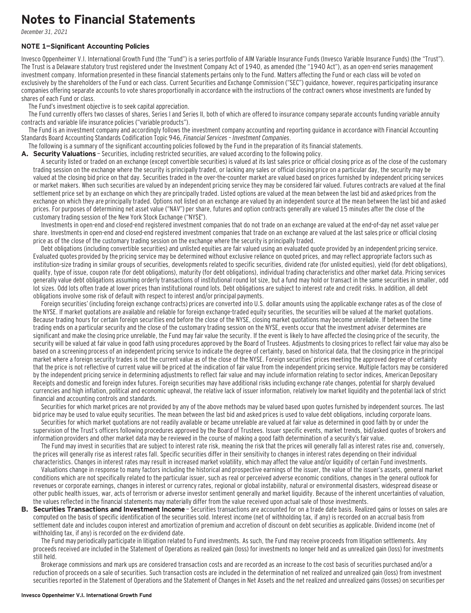### **Notes to Financial Statements**

December 31, 2021

#### **NOTE 1—Significant Accounting Policies**

Invesco Oppenheimer V.I. International Growth Fund (the "Fund") is a series portfolio of AIM Variable Insurance Funds (Invesco Variable Insurance Funds) (the "Trust"). The Trust is a Delaware statutory trust registered under the Investment Company Act of 1940, as amended (the "1940 Act"), as an open-end series management investment company. Information presented in these financial statements pertains only to the Fund. Matters affecting the Fund or each class will be voted on exclusively by the shareholders of the Fund or each class. Current Securities and Exchange Commission ("SEC") guidance, however, requires participating insurance companies offering separate accounts to vote shares proportionally in accordance with the instructions of the contract owners whose investments are funded by shares of each Fund or class.

The Fund's investment objective is to seek capital appreciation.

The Fund currently offers two classes of shares, Series I and Series II, both of which are offered to insurance company separate accounts funding variable annuity contracts and variable life insurance policies ("variable products").

The Fund is an investment company and accordingly follows the investment company accounting and reporting guidance in accordance with Financial Accounting Standards Board Accounting Standards Codification Topic 946, Financial Services – Investment Companies.

The following is a summary of the significant accounting policies followed by the Fund in the preparation of its financial statements.

A. Security Valuations - Securities, including restricted securities, are valued according to the following policy.

A security listed or traded on an exchange (except convertible securities) is valued at its last sales price or official closing price as of the close of the customary trading session on the exchange where the security is principally traded, or lacking any sales or official closing price on a particular day, the security may be valued at the closing bid price on that day. Securities traded in the over-the-counter market are valued based on prices furnished by independent pricing services or market makers. When such securities are valued by an independent pricing service they may be considered fair valued. Futures contracts are valued at the final settlement price set by an exchange on which they are principally traded. Listed options are valued at the mean between the last bid and asked prices from the exchange on which they are principally traded. Options not listed on an exchange are valued by an independent source at the mean between the last bid and asked prices. For purposes of determining net asset value ("NAV") per share, futures and option contracts generally are valued 15 minutes after the close of the customary trading session of the New York Stock Exchange ("NYSE").

Investments in open-end and closed-end registered investment companies that do not trade on an exchange are valued at the end-of-day net asset value per share. Investments in open-end and closed-end registered investment companies that trade on an exchange are valued at the last sales price or official closing price as of the close of the customary trading session on the exchange where the security is principally traded.

Debt obligations (including convertible securities) and unlisted equities are fair valued using an evaluated quote provided by an independent pricing service. Evaluated quotes provided by the pricing service may be determined without exclusive reliance on quoted prices, and may reflect appropriate factors such as institution-size trading in similar groups of securities, developments related to specific securities, dividend rate (for unlisted equities), yield (for debt obligations), quality, type of issue, coupon rate (for debt obligations), maturity (for debt obligations), individual trading characteristics and other market data. Pricing services generally value debt obligations assuming orderly transactions of institutional round lot size, but a fund may hold or transact in the same securities in smaller, odd lot sizes. Odd lots often trade at lower prices than institutional round lots. Debt obligations are subject to interest rate and credit risks. In addition, all debt obligations involve some risk of default with respect to interest and/or principal payments.

Foreign securities' (including foreign exchange contracts) prices are converted into U.S. dollar amounts using the applicable exchange rates as of the close of the NYSE. If market quotations are available and reliable for foreign exchange-traded equity securities, the securities will be valued at the market quotations. Because trading hours for certain foreign securities end before the close of the NYSE, closing market quotations may become unreliable. If between the time trading ends on a particular security and the close of the customary trading session on the NYSE, events occur that the investment adviser determines are significant and make the closing price unreliable, the Fund may fair value the security. If the event is likely to have affected the closing price of the security, the security will be valued at fair value in good faith using procedures approved by the Board of Trustees. Adjustments to closing prices to reflect fair value may also be based on a screening process of an independent pricing service to indicate the degree of certainty, based on historical data, that the closing price in the principal market where a foreign security trades is not the current value as of the close of the NYSE. Foreign securities' prices meeting the approved degree of certainty that the price is not reflective of current value will be priced at the indication of fair value from the independent pricing service. Multiple factors may be considered by the independent pricing service in determining adjustments to reflect fair value and may include information relating to sector indices, American Depositary Receipts and domestic and foreign index futures. Foreign securities may have additional risks including exchange rate changes, potential for sharply devalued currencies and high inflation, political and economic upheaval, the relative lack of issuer information, relatively low market liquidity and the potential lack of strict financial and accounting controls and standards.

Securities for which market prices are not provided by any of the above methods may be valued based upon quotes furnished by independent sources. The last bid price may be used to value equity securities. The mean between the last bid and asked prices is used to value debt obligations, including corporate loans.

Securities for which market quotations are not readily available or became unreliable are valued at fair value as determined in good faith by or under the supervision of the Trust's officers following procedures approved by the Board of Trustees. Issuer specific events, market trends, bid/asked quotes of brokers and information providers and other market data may be reviewed in the course of making a good faith determination of a security's fair value.

The Fund may invest in securities that are subject to interest rate risk, meaning the risk that the prices will generally fall as interest rates rise and, conversely, the prices will generally rise as interest rates fall. Specific securities differ in their sensitivity to changes in interest rates depending on their individual characteristics. Changes in interest rates may result in increased market volatility, which may affect the value and/or liquidity of certain Fund investments.

Valuations change in response to many factors including the historical and prospective earnings of the issuer, the value of the issuer's assets, general market conditions which are not specifically related to the particular issuer, such as real or perceived adverse economic conditions, changes in the general outlook for revenues or corporate earnings, changes in interest or currency rates, regional or global instability, natural or environmental disasters, widespread disease or other public health issues, war, acts of terrorism or adverse investor sentiment generally and market liquidity. Because of the inherent uncertainties of valuation, the values reflected in the financial statements may materially differ from the value received upon actual sale of those investments.

**B. Securities Transactions and Investment Income** - Securities transactions are accounted for on a trade date basis. Realized gains or losses on sales are computed on the basis of specific identification of the securities sold. Interest income (net of withholding tax, if any) is recorded on an accrual basis from settlement date and includes coupon interest and amortization of premium and accretion of discount on debt securities as applicable. Dividend income (net of withholding tax, if any) is recorded on the ex-dividend date.

The Fund may periodically participate in litigation related to Fund investments. As such, the Fund may receive proceeds from litigation settlements. Any proceeds received are included in the Statement of Operations as realized gain (loss) for investments no longer held and as unrealized gain (loss) for investments still held.

Brokerage commissions and mark ups are considered transaction costs and are recorded as an increase to the cost basis of securities purchased and/or a reduction of proceeds on a sale of securities. Such transaction costs are included in the determination of net realized and unrealized gain (loss) from investment securities reported in the Statement of Operations and the Statement of Changes in Net Assets and the net realized and unrealized gains (losses) on securities per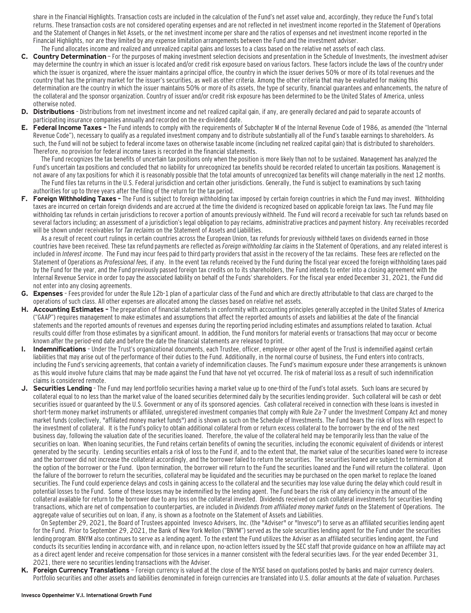share in the Financial Highlights. Transaction costs are included in the calculation of the Fund's net asset value and, accordingly, they reduce the Fund's total returns. These transaction costs are not considered operating expenses and are not reflected in net investment income reported in the Statement of Operations and the Statement of Changes in Net Assets, or the net investment income per share and the ratios of expenses and net investment income reported in the Financial Highlights, nor are they limited by any expense limitation arrangements between the Fund and the investment adviser.

- The Fund allocates income and realized and unrealized capital gains and losses to a class based on the relative net assets of each class. **C. Country Determination** — For the purposes of making investment selection decisions and presentation in the Schedule of Investments, the investment adviser may determine the country in which an issuer is located and/or credit risk exposure based on various factors. These factors include the laws of the country under which the issuer is organized, where the issuer maintains a principal office, the country in which the issuer derives 50% or more of its total revenues and the country that has the primary market for the issuer's securities, as well as other criteria. Among the other criteria that may be evaluated for making this determination are the country in which the issuer maintains 50% or more of its assets, the type of security, financial guarantees and enhancements, the nature of the collateral and the sponsor organization. Country of issuer and/or credit risk exposure has been determined to be the United States of America, unless otherwise noted.
- **D. Distributions**  Distributions from net investment income and net realized capital gain, if any, are generally declared and paid to separate accounts of participating insurance companies annually and recorded on the ex-dividend date.
- **E. Federal Income Taxes** The Fund intends to comply with the requirements of Subchapter M of the Internal Revenue Code of 1986, as amended (the "Internal Revenue Code"), necessary to qualify as a regulated investment company and to distribute substantially all of the Fund's taxable earnings to shareholders. As such, the Fund will not be subject to federal income taxes on otherwise taxable income (including net realized capital gain) that is distributed to shareholders. Therefore, no provision for federal income taxes is recorded in the financial statements.

The Fund recognizes the tax benefits of uncertain tax positions only when the position is more likely than not to be sustained. Management has analyzed the Fund's uncertain tax positions and concluded that no liability for unrecognized tax benefits should be recorded related to uncertain tax positions. Management is not aware of any tax positions for which it is reasonably possible that the total amounts of unrecognized tax benefits will change materially in the next 12 months. The Fund files tax returns in the U.S. Federal jurisdiction and certain other jurisdictions. Generally, the Fund is subject to examinations by such taxing

- authorities for up to three years after the filing of the return for the tax period.
- **F. Foreign Withholding Taxes** The Fund is subject to foreign withholding tax imposed by certain foreign countries in which the Fund may invest. Withholding taxes are incurred on certain foreign dividends and are accrued at the time the dividend is recognized based on applicable foreign tax laws. The Fund may file withholding tax refunds in certain jurisdictions to recover a portion of amounts previously withheld. The Fund will record a receivable for such tax refunds based on several factors including; an assessment of a jurisdiction's legal obligation to pay reclaims, administrative practices and payment history. Any receivables recorded will be shown under receivables for Tax reclaims on the Statement of Assets and Liabilities.

As a result of recent court rulings in certain countries across the European Union, tax refunds for previously withheld taxes on dividends earned in those countries have been received. These tax refund payments are reflected as Foreign withholding tax claims in the Statement of Operations, and any related interest is included in Interest income. The Fund may incur fees paid to third party providers that assist in the recovery of the tax reclaims. These fees are reflected on the Statement of Operations as Professional fees, if any. In the event tax refunds received by the Fund during the fiscal year exceed the foreign withholding taxes paid by the Fund for the year, and the Fund previously passed foreign tax credits on to its shareholders, the Fund intends to enter into a closing agreement with the Internal Revenue Service in order to pay the associated liability on behalf of the Funds' shareholders. For the fiscal year ended December 31, 2021, the Fund did not enter into any closing agreements.

- **G. Expenses**  Fees provided for under the Rule 12b-1 plan of a particular class of the Fund and which are directly attributable to that class are charged to the operations of such class. All other expenses are allocated among the classes based on relative net assets.
- **H. Accounting Estimates** The preparation of financial statements in conformity with accounting principles generally accepted in the United States of America ("GAAP") requires management to make estimates and assumptions that affect the reported amounts of assets and liabilities at the date of the financial statements and the reported amounts of revenues and expenses during the reporting period including estimates and assumptions related to taxation. Actual results could differ from those estimates by a significant amount. In addition, the Fund monitors for material events or transactions that may occur or become known after the period-end date and before the date the financial statements are released to print.
- **I. Indemnifications**  Under the Trust's organizational documents, each Trustee, officer, employee or other agent of the Trust is indemnified against certain liabilities that may arise out of the performance of their duties to the Fund. Additionally, in the normal course of business, the Fund enters into contracts, including the Fund's servicing agreements, that contain a variety of indemnification clauses. The Fund's maximum exposure under these arrangements is unknown as this would involve future claims that may be made against the Fund that have not yet occurred. The risk of material loss as a result of such indemnification claims is considered remote.
- **J. Securities Lending**  The Fund may lend portfolio securities having a market value up to one-third of the Fund's total assets. Such loans are secured by collateral equal to no less than the market value of the loaned securities determined daily by the securities lending provider. Such collateral will be cash or debt securities issued or quaranteed by the U.S. Government or any of its sponsored agencies. Cash collateral received in connection with these loans is invested in short-term money market instruments or affiliated, unregistered investment companies that comply with Rule 2a-7 under the Investment Company Act and money market funds (collectively, "affiliated money market funds") and is shown as such on the Schedule of Investments. The Fund bears the risk of loss with respect to the investment of collateral. It is the Fund's policy to obtain additional collateral from or return excess collateral to the borrower by the end of the next business day, following the valuation date of the securities loaned. Therefore, the value of the collateral held may be temporarily less than the value of the securities on loan. When loaning securities, the Fund retains certain benefits of owning the securities, including the economic equivalent of dividends or interest generated by the security. Lending securities entails a risk of loss to the Fund if, and to the extent that, the market value of the securities loaned were to increase and the borrower did not increase the collateral accordingly, and the borrower failed to return the securities. The securities loaned are subject to termination at the option of the borrower or the Fund. Upon termination, the borrower will return to the Fund the securities loaned and the Fund will return the collateral. Upon the failure of the borrower to return the securities, collateral may be liquidated and the securities may be purchased on the open market to replace the loaned securities. The Fund could experience delays and costs in gaining access to the collateral and the securities may lose value during the delay which could result in potential losses to the Fund. Some of these losses may be indemnified by the lending agent. The Fund bears the risk of any deficiency in the amount of the collateral available for return to the borrower due to any loss on the collateral invested. Dividends received on cash collateral investments for securities lending transactions, which are net of compensation to counterparties, are included in Dividends from affiliated money market funds on the Statement of Operations. The aggregate value of securities out on loan, if any, is shown as a footnote on the Statement of Assets and Liabilities.

On September 29, 2021, the Board of Trustees appointed Invesco Advisers, Inc. (the "Adviser" or "Invesco") to serve as an affiliated securities lending agent for the Fund. Prior to September 29, 2021, the Bank of New York Mellon ("BNYM") served as the sole securities lending agent for the Fund under the securities lending program. BNYM also continues to serve as a lending agent. To the extent the Fund utilizes the Adviser as an affiliated securities lending agent, the Fund conducts its securities lending in accordance with, and in reliance upon, no-action letters issued by the SEC staff that provide guidance on how an affiliate may act as a direct agent lender and receive compensation for those services in a manner consistent with the federal securities laws. For the year ended December 31, 2021, there were no securities lending transactions with the Adviser.

**K. Foreign Currency Translations** — Foreign currency is valued at the close of the NYSE based on quotations posted by banks and major currency dealers. Portfolio securities and other assets and liabilities denominated in foreign currencies are translated into U.S. dollar amounts at the date of valuation. Purchases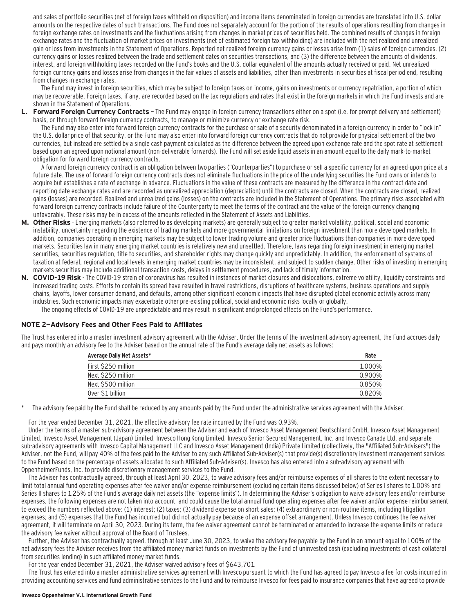and sales of portfolio securities (net of foreign taxes withheld on disposition) and income items denominated in foreign currencies are translated into U.S. dollar amounts on the respective dates of such transactions. The Fund does not separately account for the portion of the results of operations resulting from changes in foreign exchange rates on investments and the fluctuations arising from changes in market prices of securities held. The combined results of changes in foreign exchange rates and the fluctuation of market prices on investments (net of estimated foreign tax withholding) are included with the net realized and unrealized gain or loss from investments in the Statement of Operations. Reported net realized foreign currency gains or losses arise from (1) sales of foreign currencies, (2) currency gains or losses realized between the trade and settlement dates on securities transactions, and (3) the difference between the amounts of dividends, interest, and foreign withholding taxes recorded on the Fund's books and the U.S. dollar equivalent of the amounts actually received or paid. Net unrealized foreign currency gains and losses arise from changes in the fair values of assets and liabilities, other than investments in securities at fiscal period end, resulting from changes in exchange rates.

The Fund may invest in foreign securities, which may be subject to foreign taxes on income, gains on investments or currency repatriation, a portion of which may be recoverable. Foreign taxes, if any, are recorded based on the tax regulations and rates that exist in the foreign markets in which the Fund invests and are shown in the Statement of Operations.

**L. Forward Foreign Currency Contracts** — The Fund may engage in foreign currency transactions either on a spot (i.e. for prompt delivery and settlement) basis, or through forward foreign currency contracts, to manage or minimize currency or exchange rate risk.

The Fund may also enter into forward foreign currency contracts for the purchase or sale of a security denominated in a foreign currency in order to "lock in" the U.S. dollar price of that security, or the Fund may also enter into forward foreign currency contracts that do not provide for physical settlement of the two currencies, but instead are settled by a single cash payment calculated as the difference between the agreed upon exchange rate and the spot rate at settlement based upon an agreed upon notional amount (non-deliverable forwards). The Fund will set aside liquid assets in an amount equal to the daily mark-to-market obligation for forward foreign currency contracts.

A forward foreign currency contract is an obligation between two parties ("Counterparties") to purchase or sell a specific currency for an agreed-upon price at a future date. The use of forward foreign currency contracts does not eliminate fluctuations in the price of the underlying securities the Fund owns or intends to acquire but establishes a rate of exchange in advance. Fluctuations in the value of these contracts are measured by the difference in the contract date and reporting date exchange rates and are recorded as unrealized appreciation (depreciation) until the contracts are closed. When the contracts are closed, realized gains (losses) are recorded. Realized and unrealized gains (losses) on the contracts are included in the Statement of Operations. The primary risks associated with forward foreign currency contracts include failure of the Counterparty to meet the terms of the contract and the value of the foreign currency changing unfavorably. These risks may be in excess of the amounts reflected in the Statement of Assets and Liabilities.

- **M. Other Risks**  Emerging markets (also referred to as developing markets) are generally subject to greater market volatility, political, social and economic instability, uncertainty regarding the existence of trading markets and more governmental limitations on foreign investment than more developed markets. In addition, companies operating in emerging markets may be subject to lower trading volume and greater price fluctuations than companies in more developed markets. Securities law in many emerging market countries is relatively new and unsettled. Therefore, laws regarding foreign investment in emerging market securities, securities regulation, title to securities, and shareholder rights may change quickly and unpredictably. In addition, the enforcement of systems of taxation at federal, regional and local levels in emerging market countries may be inconsistent, and subject to sudden change. Other risks of investing in emerging markets securities may include additional transaction costs, delays in settlement procedures, and lack of timely information.
- **N. COVID-19 Risk**  The COVID-19 strain of coronavirus has resulted in instances of market closures and dislocations, extreme volatility, liquidity constraints and increased trading costs. Efforts to contain its spread have resulted in travel restrictions, disruptions of healthcare systems, business operations and supply chains, layoffs, lower consumer demand, and defaults, among other significant economic impacts that have disrupted global economic activity across many industries. Such economic impacts may exacerbate other pre-existing political, social and economic risks locally or globally. The ongoing effects of COVID-19 are unpredictable and may result in significant and prolonged effects on the Fund's performance.

#### **NOTE 2—Advisory Fees and Other Fees Paid to Affiliates**

The Trust has entered into a master investment advisory agreement with the Adviser. Under the terms of the investment advisory agreement, the Fund accrues daily and pays monthly an advisory fee to the Adviser based on the annual rate of the Fund's average daily net assets as follows:

| Average Daily Net Assets* | Rate   |
|---------------------------|--------|
| First \$250 million       | 1.000% |
| Next \$250 million        | 0.900% |
| Next \$500 million        | 0.850% |
| Over \$1 billion          | 0.820% |

The advisory fee paid by the Fund shall be reduced by any amounts paid by the Fund under the administrative services agreement with the Adviser.

For the year ended December 31, 2021, the effective advisory fee rate incurred by the Fund was 0.93%.

Under the terms of a master sub-advisory agreement between the Adviser and each of Invesco Asset Management Deutschland GmbH, Invesco Asset Management Limited, Invesco Asset Management (Japan) Limited, Invesco Hong Kong Limited, Invesco Senior Secured Management, Inc. and Invesco Canada Ltd. and separate sub-advisory agreements with Invesco Capital Management LLC and Invesco Asset Management (India) Private Limited (collectively, the "Affiliated Sub-Advisers") the Adviser, not the Fund, will pay 40% of the fees paid to the Adviser to any such Affiliated Sub-Adviser(s) that provide(s) discretionary investment management services to the Fund based on the percentage of assets allocated to such Affiliated Sub-Adviser(s). Invesco has also entered into a sub-advisory agreement with OppenheimerFunds, Inc. to provide discretionary management services to the Fund.

The Adviser has contractually agreed, through at least April 30, 2023, to waive advisory fees and/or reimburse expenses of all shares to the extent necessary to limit total annual fund operating expenses after fee waiver and/or expense reimbursement (excluding certain items discussed below) of Series I shares to 1.00% and Series II shares to 1.25% of the Fund's average daily net assets (the "expense limits"). In determining the Adviser's obligation to waive advisory fees and/or reimburse expenses, the following expenses are not taken into account, and could cause the total annual fund operating expenses after fee waiver and/or expense reimbursement to exceed the numbers reflected above: (1) interest; (2) taxes; (3) dividend expense on short sales; (4) extraordinary or non-routine items, including litigation expenses; and (5) expenses that the Fund has incurred but did not actually pay because of an expense offset arrangement. Unless Invesco continues the fee waiver agreement, it will terminate on April 30, 2023. During its term, the fee waiver agreement cannot be terminated or amended to increase the expense limits or reduce the advisory fee waiver without approval of the Board of Trustees.

Further, the Adviser has contractually agreed, through at least June 30, 2023, to waive the advisory fee payable by the Fund in an amount equal to 100% of the net advisory fees the Adviser receives from the affiliated money market funds on investments by the Fund of uninvested cash (excluding investments of cash collateral from securities lending) in such affiliated money market funds.

For the year ended December 31, 2021, the Adviser waived advisory fees of \$643,701.

The Trust has entered into a master administrative services agreement with Invesco pursuant to which the Fund has agreed to pay Invesco a fee for costs incurred in providing accounting services and fund administrative services to the Fund and to reimburse Invesco for fees paid to insurance companies that have agreed to provide

#### **Invesco Oppenheimer V.I. International Growth Fund**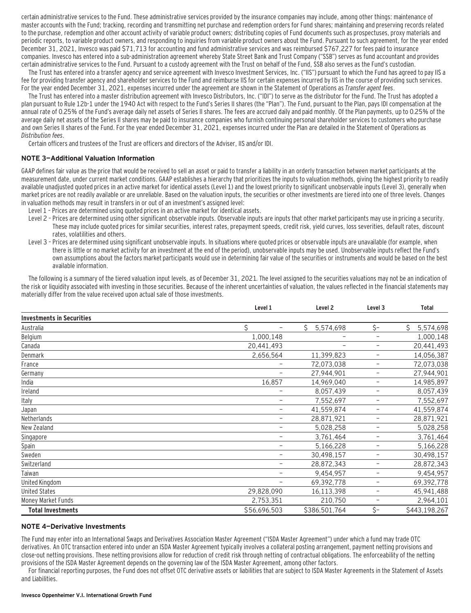certain administrative services to the Fund. These administrative services provided by the insurance companies may include, among other things: maintenance of master accounts with the Fund; tracking, recording and transmitting net purchase and redemption orders for Fund shares; maintaining and preserving records related to the purchase, redemption and other account activity of variable product owners; distributing copies of Fund documents such as prospectuses, proxy materials and periodic reports, to variable product owners, and responding to inquiries from variable product owners about the Fund. Pursuant to such agreement, for the year ended December 31, 2021, Invesco was paid \$71,713 for accounting and fund administrative services and was reimbursed \$767,227 for fees paid to insurance companies. Invesco has entered into a sub-administration agreement whereby State Street Bank and Trust Company ("SSB") serves as fund accountant and provides certain administrative services to the Fund. Pursuant to a custody agreement with the Trust on behalf of the Fund, SSB also serves as the Fund's custodian.

The Trust has entered into a transfer agency and service agreement with Invesco Investment Services, Inc. ("IIS") pursuant to which the Fund has agreed to pay IIS a fee for providing transfer agency and shareholder services to the Fund and reimburse IIS for certain expenses incurred by IIS in the course of providing such services. For the year ended December 31, 2021, expenses incurred under the agreement are shown in the Statement of Operations as Transfer agent fees.

The Trust has entered into a master distribution agreement with Invesco Distributors, Inc. ("IDI") to serve as the distributor for the Fund. The Trust has adopted a plan pursuant to Rule 12b-1 under the 1940 Act with respect to the Fund's Series II shares (the "Plan"). The Fund, pursuant to the Plan, pays IDI compensation at the annual rate of 0.25% of the Fund's average daily net assets of Series II shares. The fees are accrued daily and paid monthly. Of the Plan payments, up to 0.25% of the average daily net assets of the Series II shares may be paid to insurance companies who furnish continuing personal shareholder services to customers who purchase and own Series II shares of the Fund. For the year ended December 31, 2021, expenses incurred under the Plan are detailed in the Statement of Operations as Distribution fees.

Certain officers and trustees of the Trust are officers and directors of the Adviser, IIS and/or IDI.

#### **NOTE 3—Additional Valuation Information**

GAAP defines fair value as the price that would be received to sell an asset or paid to transfer a liability in an orderly transaction between market participants at the measurement date, under current market conditions. GAAP establishes a hierarchy that prioritizes the inputs to valuation methods, giving the highest priority to readily available unadjusted quoted prices in an active market for identical assets (Level 1) and the lowest priority to significant unobservable inputs (Level 3), generally when market prices are not readily available or are unreliable. Based on the valuation inputs, the securities or other investments are tiered into one of three levels. Changes in valuation methods may result in transfers in or out of an investment's assigned level:

- Level 1 Prices are determined using quoted prices in an active market for identical assets.
- Level 2 Prices are determined using other significant observable inputs. Observable inputs that other market participants may use in pricing a security. These may include quoted prices for similar securities, interest rates, prepayment speeds, credit risk, yield curves, loss severities, default rates, discount rates, volatilities and others.
- Level 3 Prices are determined using significant unobservable inputs. In situations where quoted prices or observable inputs are unavailable (for example, when there is little or no market activity for an investment at the end of the period), unobservable inputs may be used. Unobservable inputs reflect the Fund's own assumptions about the factors market participants would use in determining fair value of the securities or instruments and would be based on the best available information.

The following is a summary of the tiered valuation input levels, as of December 31, 2021. The level assigned to the securities valuations may not be an indication of the risk or liquidity associated with investing in those securities. Because of the inherent uncertainties of valuation, the values reflected in the financial statements may materially differ from the value received upon actual sale of those investments.

|                                  | Level 1                  | Level <sub>2</sub>       | Level <sub>3</sub>       | <b>Total</b>   |
|----------------------------------|--------------------------|--------------------------|--------------------------|----------------|
| <b>Investments in Securities</b> |                          |                          |                          |                |
| Australia                        | Ś                        | Ŝ.<br>5,574,698          | $\zeta-$                 | Ś<br>5,574,698 |
| Belgium                          | 1,000,148                | $\qquad \qquad -$        | $\overline{\phantom{m}}$ | 1,000,148      |
| Canada                           | 20,441,493               | $\overline{\phantom{0}}$ | $\overline{\phantom{a}}$ | 20,441,493     |
| Denmark                          | 2,656,564                | 11,399,823               | $\qquad \qquad -$        | 14,056,387     |
| France                           |                          | 72,073,038               | $\qquad \qquad -$        | 72,073,038     |
| Germany                          | -                        | 27,944,901               | -                        | 27,944,901     |
| India                            | 16,857                   | 14,969,040               | -                        | 14,985,897     |
| Ireland                          |                          | 8,057,439                | $\overline{\phantom{m}}$ | 8,057,439      |
| Italy                            | -                        | 7,552,697                | $\qquad \qquad -$        | 7,552,697      |
| Japan                            | -                        | 41,559,874               | -                        | 41,559,874     |
| Netherlands                      | $\overline{\phantom{m}}$ | 28,871,921               | $\overline{\phantom{m}}$ | 28,871,921     |
| New Zealand                      | $\overline{\phantom{0}}$ | 5,028,258                | $\overline{\phantom{0}}$ | 5,028,258      |
| Singapore                        |                          | 3,761,464                | $\qquad \qquad -$        | 3,761,464      |
| Spain                            | -                        | 5,166,228                | -                        | 5,166,228      |
| Sweden                           | $\overline{\phantom{m}}$ | 30,498,157               | $\overline{\phantom{m}}$ | 30,498,157     |
| Switzerland                      | -                        | 28,872,343               | $\overline{\phantom{m}}$ | 28,872,343     |
| Taiwan                           | $\overline{\phantom{0}}$ | 9,454,957                | $\qquad \qquad -$        | 9,454,957      |
| United Kingdom                   |                          | 69,392,778               | $\qquad \qquad -$        | 69,392,778     |
| <b>United States</b>             | 29,828,090               | 16,113,398               | -                        | 45,941,488     |
| Money Market Funds               | 2,753,351                | 210,750                  | -                        | 2,964,101      |
| <b>Total Investments</b>         | \$56,696,503             | \$386,501,764            | \$-                      | \$443,198,267  |

#### **NOTE 4—Derivative Investments**

The Fund may enter into an International Swaps and Derivatives Association Master Agreement ("ISDA Master Agreement") under which a fund may trade OTC derivatives. An OTC transaction entered into under an ISDA Master Agreement typically involves a collateral posting arrangement, payment netting provisions and close-out netting provisions. These netting provisions allow for reduction of credit risk through netting of contractual obligations. The enforceability of the netting provisions of the ISDA Master Agreement depends on the governing law of the ISDA Master Agreement, among other factors.

For financial reporting purposes, the Fund does not offset OTC derivative assets or liabilities that are subject to ISDA Master Agreements in the Statement of Assets and Liabilities.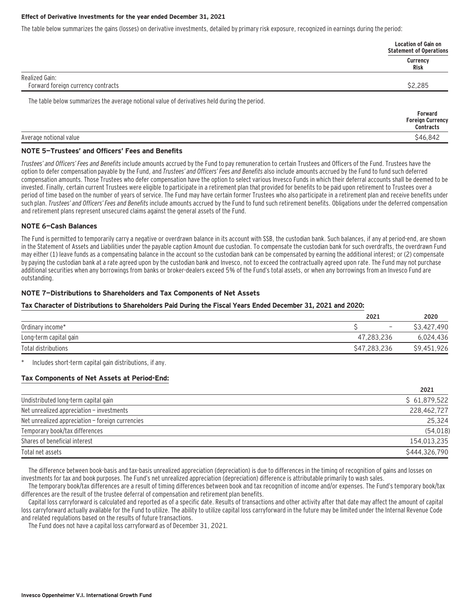#### **Effect of Derivative Investments for the year ended December 31, 2021**

The table below summarizes the gains (losses) on derivative investments, detailed by primary risk exposure, recognized in earnings during the period:

|                                                                                              | Location of Gain on<br><b>Statement of Operations</b> |
|----------------------------------------------------------------------------------------------|-------------------------------------------------------|
|                                                                                              | Currency<br>Risk                                      |
| Realized Gain:                                                                               |                                                       |
| Forward foreign currency contracts                                                           | \$2,285                                               |
| The table below summarizes the average notional value of derivatives held during the period. |                                                       |

|                        | Forward<br><b>Foreign Currency</b><br><b>Contracts</b> |
|------------------------|--------------------------------------------------------|
| Average notional value | \$46,842                                               |

#### **NOTE 5—Trustees' and Officers' Fees and Benefits**

Trustees' and Officers' Fees and Benefits include amounts accrued by the Fund to pay remuneration to certain Trustees and Officers of the Fund. Trustees have the option to defer compensation payable by the Fund, and Trustees' and Officers' Fees and Benefits also include amounts accrued by the Fund to fund such deferred compensation amounts. Those Trustees who defer compensation have the option to select various Invesco Funds in which their deferral accounts shall be deemed to be invested. Finally, certain current Trustees were eligible to participate in a retirement plan that provided for benefits to be paid upon retirement to Trustees over a period of time based on the number of years of service. The Fund may have certain former Trustees who also participate in a retirement plan and receive benefits under such plan. Trustees' and Officers' Fees and Benefits include amounts accrued by the Fund to fund such retirement benefits. Obligations under the deferred compensation and retirement plans represent unsecured claims against the general assets of the Fund.

#### **NOTE 6—Cash Balances**

The Fund is permitted to temporarily carry a negative or overdrawn balance in its account with SSB, the custodian bank. Such balances, if any at period-end, are shown in the Statement of Assets and Liabilities under the payable caption Amount due custodian. To compensate the custodian bank for such overdrafts, the overdrawn Fund may either (1) leave funds as a compensating balance in the account so the custodian bank can be compensated by earning the additional interest; or (2) compensate by paying the custodian bank at a rate agreed upon by the custodian bank and Invesco, not to exceed the contractually agreed upon rate. The Fund may not purchase additional securities when any borrowings from banks or broker-dealers exceed 5% of the Fund's total assets, or when any borrowings from an Invesco Fund are outstanding.

#### **NOTE 7—Distributions to Shareholders and Tax Components of Net Assets**

#### **Tax Character of Distributions to Shareholders Paid During the Fiscal Years Ended December 31, 2021 and 2020:**

|                        | 2021                     | 2020        |
|------------------------|--------------------------|-------------|
| Ordinary income*       | $\overline{\phantom{a}}$ | \$3,427,490 |
| Long-term capital gain | 47.283.236               | 6,024,436   |
| Total distributions    | \$47,283,236             | \$9,451,926 |

Includes short-term capital gain distributions, if any.

### **Tax Components of Net Assets at Period-End:**

|                                                  | 2021          |
|--------------------------------------------------|---------------|
| Undistributed long-term capital gain             | \$61,879,522  |
| Net unrealized appreciation - investments        | 228.462.727   |
| Net unrealized appreciation - foreign currencies | 25,324        |
| Temporary book/tax differences                   | (54, 018)     |
| Shares of beneficial interest                    | 154,013,235   |
| Total net assets                                 | \$444.326.790 |

The difference between book-basis and tax-basis unrealized appreciation (depreciation) is due to differences in the timing of recognition of gains and losses on investments for tax and book purposes. The Fund's net unrealized appreciation (depreciation) difference is attributable primarily to wash sales.

The temporary book/tax differences are a result of timing differences between book and tax recognition of income and/or expenses. The Fund's temporary book/tax differences are the result of the trustee deferral of compensation and retirement plan benefits.

Capital loss carryforward is calculated and reported as of a specific date. Results of transactions and other activity after that date may affect the amount of capital loss carryforward actually available for the Fund to utilize. The ability to utilize capital loss carryforward in the future may be limited under the Internal Revenue Code and related regulations based on the results of future transactions.

The Fund does not have a capital loss carryforward as of December 31, 2021.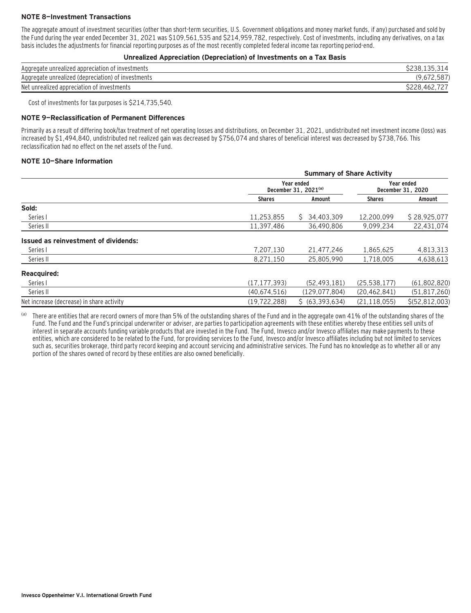#### **NOTE 8—Investment Transactions**

The aggregate amount of investment securities (other than short-term securities, U.S. Government obligations and money market funds, if any) purchased and sold by the Fund during the year ended December 31, 2021 was \$109,561,535 and \$214,959,782, respectively. Cost of investments, including any derivatives, on a tax basis includes the adjustments for financial reporting purposes as of the most recently completed federal income tax reporting period-end.

#### **Unrealized Appreciation (Depreciation) of Investments on a Tax Basis**

| Aggregate unrealized appreciation of investments   | \$238.135.31   |
|----------------------------------------------------|----------------|
| Aggregate unrealized (depreciation) of investments | L, U           |
| Net unrealized appreciation of investments         | 746∠.<br>SZZO. |

Cost of investments for tax purposes is \$214,735,540.

#### **NOTE 9—Reclassification of Permanent Differences**

Primarily as a result of differing book/tax treatment of net operating losses and distributions, on December 31, 2021, undistributed net investment income (loss) was increased by \$1,494,840, undistributed net realized gain was decreased by \$756,074 and shares of beneficial interest was decreased by \$738,766. This reclassification had no effect on the net assets of the Fund.

#### **NOTE 10—Share Information**

|                                           | <b>Summary of Share Activity</b> |                                                |                |                                 |  |
|-------------------------------------------|----------------------------------|------------------------------------------------|----------------|---------------------------------|--|
|                                           |                                  | Year ended<br>December 31, 2021 <sup>(a)</sup> |                | Year ended<br>December 31, 2020 |  |
|                                           | <b>Shares</b>                    | Amount                                         | <b>Shares</b>  | Amount                          |  |
| Sold:                                     |                                  |                                                |                |                                 |  |
| Series I                                  | 11,253,855                       | 34,403,309<br>S.                               | 12,200,099     | \$28,925,077                    |  |
| Series II                                 | 11,397,486                       | 36,490,806                                     | 9,099,234      | 22,431,074                      |  |
| Issued as reinvestment of dividends:      |                                  |                                                |                |                                 |  |
| Series I                                  | 7,207,130                        | 21,477,246                                     | 1,865,625      | 4,813,313                       |  |
| Series II                                 | 8,271,150                        | 25,805,990                                     | 1,718,005      | 4,638,613                       |  |
| <b>Reacquired:</b>                        |                                  |                                                |                |                                 |  |
| Series I                                  | (17, 177, 393)                   | (52, 493, 181)                                 | (25, 538, 177) | (61,802,820)                    |  |
| Series II                                 | (40,674,516)                     | (129, 077, 804)                                | (20, 462, 841) | (51, 817, 260)                  |  |
| Net increase (decrease) in share activity | (19, 722, 288)                   | \$ (63, 393, 634)                              | (21, 118, 055) | \$(52, 812, 003)                |  |

(a) There are entities that are record owners of more than 5% of the outstanding shares of the Fund and in the aggregate own 41% of the outstanding shares of the Fund. The Fund and the Fund's principal underwriter or adviser, are parties to participation agreements with these entities whereby these entities sell units of interest in separate accounts funding variable products that are invested in the Fund. The Fund, Invesco and/or Invesco affiliates may make payments to these entities, which are considered to be related to the Fund, for providing services to the Fund, Invesco and/or Invesco affiliates including but not limited to services such as, securities brokerage, third party record keeping and account servicing and administrative services. The Fund has no knowledge as to whether all or any portion of the shares owned of record by these entities are also owned beneficially.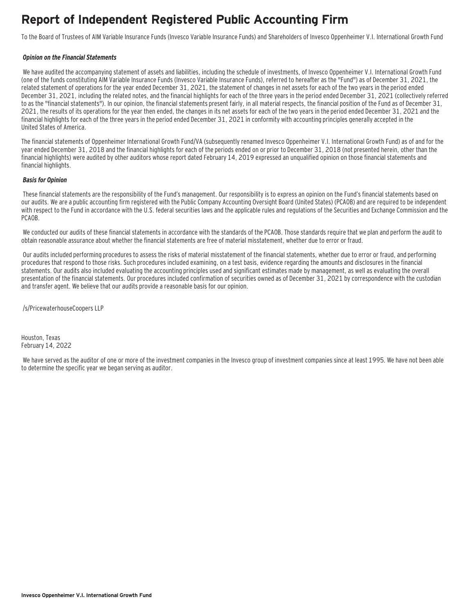### **Report of Independent Registered Public Accounting Firm**

To the Board of Trustees of AIM Variable Insurance Funds (Invesco Variable Insurance Funds) and Shareholders of Invesco Oppenheimer V.I. International Growth Fund

#### **Opinion on the Financial Statements**

We have audited the accompanying statement of assets and liabilities, including the schedule of investments, of Invesco Oppenheimer V.I. International Growth Fund (one of the funds constituting AIM Variable Insurance Funds (Invesco Variable Insurance Funds), referred to hereafter as the "Fund") as of December 31, 2021, the related statement of operations for the year ended December 31, 2021, the statement of changes in net assets for each of the two years in the period ended December 31, 2021, including the related notes, and the financial highlights for each of the three years in the period ended December 31, 2021 (collectively referred to as the "financial statements"). In our opinion, the financial statements present fairly, in all material respects, the financial position of the Fund as of December 31, 2021, the results of its operations for the year then ended, the changes in its net assets for each of the two years in the period ended December 31, 2021 and the financial highlights for each of the three years in the period ended December 31, 2021 in conformity with accounting principles generally accepted in the United States of America.

The financial statements of Oppenheimer International Growth Fund/VA (subsequently renamed Invesco Oppenheimer V.I. International Growth Fund) as of and for the year ended December 31, 2018 and the financial highlights for each of the periods ended on or prior to December 31, 2018 (not presented herein, other than the financial highlights) were audited by other auditors whose report dated February 14, 2019 expressed an unqualified opinion on those financial statements and financial highlights.

#### **Basis for Opinion**

These financial statements are the responsibility of the Fund's management. Our responsibility is to express an opinion on the Fund's financial statements based on our audits. We are a public accounting firm registered with the Public Company Accounting Oversight Board (United States) (PCAOB) and are required to be independent with respect to the Fund in accordance with the U.S. federal securities laws and the applicable rules and regulations of the Securities and Exchange Commission and the PCAOB.

 We conducted our audits of these financial statements in accordance with the standards of the PCAOB. Those standards require that we plan and perform the audit to obtain reasonable assurance about whether the financial statements are free of material misstatement, whether due to error or fraud.

 Our audits included performing procedures to assess the risks of material misstatement of the financial statements, whether due to error or fraud, and performing procedures that respond to those risks. Such procedures included examining, on a test basis, evidence regarding the amounts and disclosures in the financial statements. Our audits also included evaluating the accounting principles used and significant estimates made by management, as well as evaluating the overall presentation of the financial statements. Our procedures included confirmation of securities owned as of December 31, 2021 by correspondence with the custodian and transfer agent. We believe that our audits provide a reasonable basis for our opinion.

/s/PricewaterhouseCoopers LLP

Houston, Texas February 14, 2022

 We have served as the auditor of one or more of the investment companies in the Invesco group of investment companies since at least 1995. We have not been able to determine the specific year we began serving as auditor.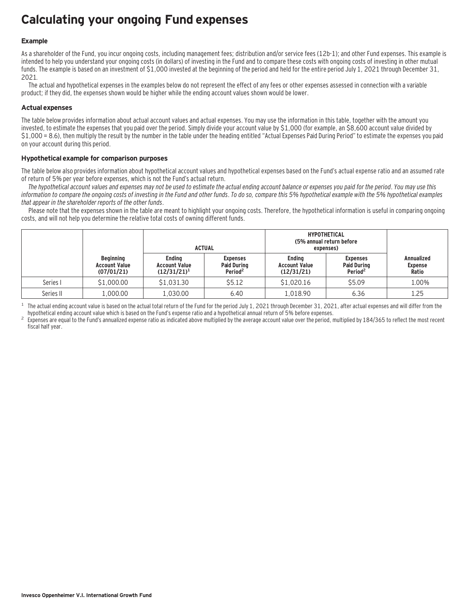### **Calculating your ongoing Fund expenses**

#### **Example**

As a shareholder of the Fund, you incur ongoing costs, including management fees; distribution and/or service fees (12b-1); and other Fund expenses. This example is intended to help you understand your ongoing costs (in dollars) of investing in the Fund and to compare these costs with ongoing costs of investing in other mutual funds. The example is based on an investment of \$1,000 invested at the beginning of the period and held for the entire period July 1, 2021 through December 31, 2021.

The actual and hypothetical expenses in the examples below do not represent the effect of any fees or other expenses assessed in connection with a variable product; if they did, the expenses shown would be higher while the ending account values shown would be lower.

#### **Actual expenses**

The table below provides information about actual account values and actual expenses. You may use the information in this table, together with the amount you invested, to estimate the expenses that you paid over the period. Simply divide your account value by \$1,000 (for example, an \$8,600 account value divided by \$1,000 = 8.6), then multiply the result by the number in the table under the heading entitled "Actual Expenses Paid During Period" to estimate the expenses you paid on your account during this period.

#### **Hypothetical example for comparison purposes**

The table below also provides information about hypothetical account values and hypothetical expenses based on the Fund's actual expense ratio and an assumed rate of return of 5% per year before expenses, which is not the Fund's actual return.

The hypothetical account values and expenses may not be used to estimate the actual ending account balance or expenses you paid for the period. You may use this information to compare the ongoing costs of investing in the Fund and other funds. To do so, compare this 5% hypothetical example with the 5% hypothetical examples that appear in the shareholder reports of the other funds.

Please note that the expenses shown in the table are meant to highlight your ongoing costs. Therefore, the hypothetical information is useful in comparing ongoing costs, and will not help you determine the relative total costs of owning different funds.

|           |                                                        |                                                         | <b>ACTUAL</b>                                                | <b>HYPOTHETICAL</b><br>(5% annual return before<br>expenses) |                                                              |                                              |
|-----------|--------------------------------------------------------|---------------------------------------------------------|--------------------------------------------------------------|--------------------------------------------------------------|--------------------------------------------------------------|----------------------------------------------|
|           | <b>Beginning</b><br><b>Account Value</b><br>(07/01/21) | <b>Endina</b><br><b>Account Value</b><br>$(12/31/21)^1$ | <b>Expenses</b><br><b>Paid During</b><br>Period <sup>2</sup> | <b>Endina</b><br><b>Account Value</b><br>(12/31/21)          | <b>Expenses</b><br><b>Paid During</b><br>Period <sup>2</sup> | <b>Annualized</b><br><b>Expense</b><br>Ratio |
| Series I  | \$1,000.00                                             | \$1,031.30                                              | \$5.12                                                       | \$1,020.16                                                   | \$5.09                                                       | 1.00%                                        |
| Series II | 1,000.00                                               | 1.030.00                                                | 6.40                                                         | 1.018.90                                                     | 6.36                                                         | 1.25                                         |

<sup>1</sup> The actual ending account value is based on the actual total return of the Fund for the period July 1, 2021 through December 31, 2021, after actual expenses and will differ from the hupothetical ending account value w

Expenses are equal to the Fund's annualized expense ratio as indicated above multiplied by the average account value over the period, multiplied by 184/365 to reflect the most recent fiscal half year.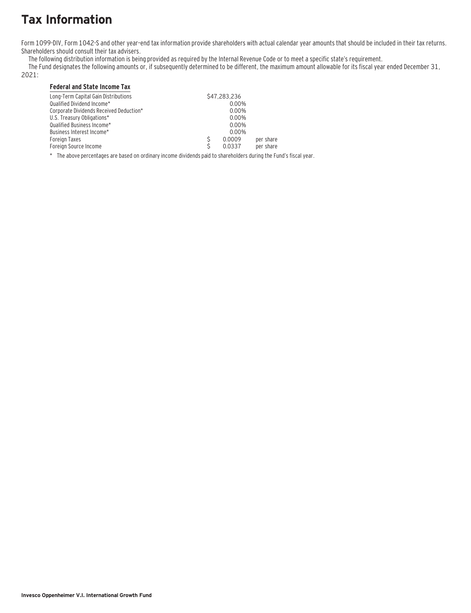# **Tax Information**

Form 1099-DIV, Form 1042-S and other year–end tax information provide shareholders with actual calendar year amounts that should be included in their tax returns. Shareholders should consult their tax advisers.

The following distribution information is being provided as required by the Internal Revenue Code or to meet a specific state's requirement.

The Fund designates the following amounts or, if subsequently determined to be different, the maximum amount allowable for its fiscal year ended December 31,

### 2021:

### **Federal and State Income Tax**

| Long-Term Capital Gain Distributions    | \$47,283,236 |           |
|-----------------------------------------|--------------|-----------|
| Qualified Dividend Income*              | 0.00%        |           |
| Corporate Dividends Received Deduction* | 0.00%        |           |
| U.S. Treasury Obligations*              | 0.00%        |           |
| Qualified Business Income*              | 0.00%        |           |
| Business Interest Income*               | $0.00\%$     |           |
| Foreign Taxes                           | 0.0009       | per share |
| Foreign Source Income                   | 0.0337       | per share |

\* The above percentages are based on ordinary income dividends paid to shareholders during the Fund's fiscal year.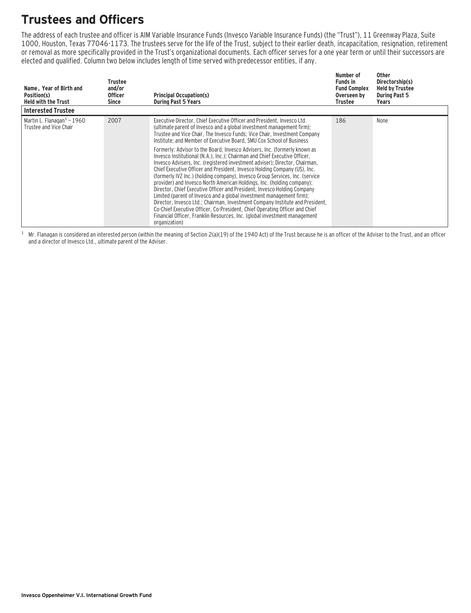## **Trustees and Officers**

The address of each trustee and officer is AIM Variable Insurance Funds (Invesco Variable Insurance Funds) (the "Trust"), 11 Greenway Plaza, Suite 1000, Houston, Texas 77046-1173. The trustees serve for the life of the Trust, subject to their earlier death, incapacitation, resignation, retirement or removal as more specifically provided in the Trust's organizational documents. Each officer serves for a one year term or until their successors are elected and qualified. Column two below includes length of time served with predecessor entities, if any.

| Name, Year of Birth and<br>Position(s)<br><b>Held with the Trust</b> | Trustee<br>and/or<br><b>Officer</b><br>Since | <b>Principal Occupation(s)</b><br><b>During Past 5 Years</b>                                                                                                                                                                                                                                                                                                                                                                                                                                                                                                                                                                                                                                                                                                                                                                                                                                                                                                                                                                                                                                                                                                                                             | Number of<br><b>Funds in</b><br><b>Fund Complex</b><br>Overseen by<br>Trustee | <b>Other</b><br>Directorship(s)<br><b>Held by Trustee</b><br><b>During Past 5</b><br>Years |
|----------------------------------------------------------------------|----------------------------------------------|----------------------------------------------------------------------------------------------------------------------------------------------------------------------------------------------------------------------------------------------------------------------------------------------------------------------------------------------------------------------------------------------------------------------------------------------------------------------------------------------------------------------------------------------------------------------------------------------------------------------------------------------------------------------------------------------------------------------------------------------------------------------------------------------------------------------------------------------------------------------------------------------------------------------------------------------------------------------------------------------------------------------------------------------------------------------------------------------------------------------------------------------------------------------------------------------------------|-------------------------------------------------------------------------------|--------------------------------------------------------------------------------------------|
| <b>Interested Trustee</b>                                            |                                              |                                                                                                                                                                                                                                                                                                                                                                                                                                                                                                                                                                                                                                                                                                                                                                                                                                                                                                                                                                                                                                                                                                                                                                                                          |                                                                               |                                                                                            |
| Martin L. Flanagan $1 - 1960$<br>Trustee and Vice Chair              | 2007                                         | Executive Director, Chief Executive Officer and President, Invesco Ltd.<br>(ultimate parent of Invesco and a global investment management firm);<br>Trustee and Vice Chair, The Invesco Funds; Vice Chair, Investment Company<br>Institute; and Member of Executive Board, SMU Cox School of Business<br>Formerly: Advisor to the Board, Invesco Advisers, Inc. (formerly known as<br>Invesco Institutional (N.A.), Inc.): Chairman and Chief Executive Officer.<br>Invesco Advisers, Inc. (registered investment adviser); Director, Chairman,<br>Chief Executive Officer and President, Invesco Holding Company (US), Inc.<br>(formerly IVZ Inc.) (holding company), Invesco Group Services, Inc. (service<br>provider) and Invesco North American Holdings, Inc. (holding company);<br>Director, Chief Executive Officer and President, Invesco Holding Company<br>Limited (parent of Invesco and a global investment management firm);<br>Director, Invesco Ltd.; Chairman, Investment Company Institute and President,<br>Co-Chief Executive Officer, Co-President, Chief Operating Officer and Chief<br>Financial Officer, Franklin Resources, Inc. (global investment management<br>organization) | 186                                                                           | None                                                                                       |

 $1$  Mr. Flanagan is considered an interested person (within the meaning of Section 2(a)(19) of the 1940 Act) of the Trust because he is an officer of the Adviser to the Trust, and an officer and a director of Invesco Ltd., ultimate parent of the Adviser.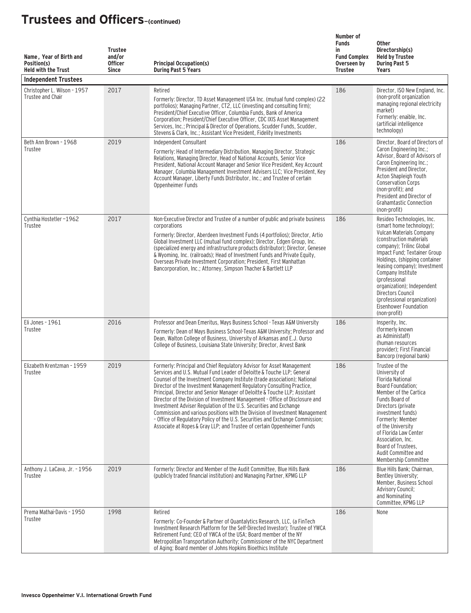| Name, Year of Birth and<br>Position(s)<br><b>Held with the Trust</b><br><b>Independent Trustees</b> | <b>Trustee</b><br>and/or<br><b>Officer</b><br><b>Since</b> | <b>Principal Occupation(s)</b><br><b>During Past 5 Years</b>                                                                                                                                                                                                                                                                                                                                                                                                                                                                                                                                                                                                                                                                                                                        | Number of<br><b>Funds</b><br>in<br><b>Fund Complex</b><br>Overseen by<br><b>Trustee</b> | <b>Other</b><br>Directorship(s)<br><b>Held by Trustee</b><br><b>During Past 5</b><br>Years                                                                                                                                                                                                                                                                                                                   |
|-----------------------------------------------------------------------------------------------------|------------------------------------------------------------|-------------------------------------------------------------------------------------------------------------------------------------------------------------------------------------------------------------------------------------------------------------------------------------------------------------------------------------------------------------------------------------------------------------------------------------------------------------------------------------------------------------------------------------------------------------------------------------------------------------------------------------------------------------------------------------------------------------------------------------------------------------------------------------|-----------------------------------------------------------------------------------------|--------------------------------------------------------------------------------------------------------------------------------------------------------------------------------------------------------------------------------------------------------------------------------------------------------------------------------------------------------------------------------------------------------------|
| Christopher L. Wilson - 1957<br>Trustee and Chair                                                   | 2017                                                       | Retired<br>Formerly: Director, TD Asset Management USA Inc. (mutual fund complex) (22<br>portfolios); Managing Partner, CT2, LLC (investing and consulting firm);<br>President/Chief Executive Officer, Columbia Funds, Bank of America<br>Corporation; President/Chief Executive Officer, CDC IXIS Asset Management<br>Services, Inc.; Principal & Director of Operations, Scudder Funds, Scudder,<br>Stevens & Clark, Inc.; Assistant Vice President, Fidelity Investments                                                                                                                                                                                                                                                                                                        | 186                                                                                     | Director, ISO New England, Inc.<br>(non-profit organization<br>managing regional electricity<br>market)<br>Formerly: enaible, Inc.<br>(artificial intelligence<br>technology)                                                                                                                                                                                                                                |
| Beth Ann Brown - 1968<br>Trustee                                                                    | 2019                                                       | Independent Consultant<br>Formerly: Head of Intermediary Distribution, Managing Director, Strategic<br>Relations, Managing Director, Head of National Accounts, Senior Vice<br>President, National Account Manager and Senior Vice President, Key Account<br>Manager, Columbia Management Investment Advisers LLC; Vice President, Key<br>Account Manager, Liberty Funds Distributor, Inc.; and Trustee of certain<br>Oppenheimer Funds                                                                                                                                                                                                                                                                                                                                             | 186                                                                                     | Director, Board of Directors of<br>Caron Engineering Inc.;<br>Advisor, Board of Advisors of<br>Caron Engineering Inc.;<br>President and Director,<br>Acton Shapleigh Youth<br><b>Conservation Corps</b><br>(non-profit); and<br>President and Director of<br><b>Grahamtastic Connection</b><br>(non-profit)                                                                                                  |
| Cynthia Hostetler-1962<br>Trustee                                                                   | 2017                                                       | Non-Executive Director and Trustee of a number of public and private business<br>corporations<br>Formerly: Director, Aberdeen Investment Funds (4 portfolios); Director, Artio<br>Global Investment LLC (mutual fund complex); Director, Edgen Group, Inc.<br>(specialized energy and infrastructure products distributor); Director, Genesee<br>& Wyoming, Inc. (railroads); Head of Investment Funds and Private Equity,<br>Overseas Private Investment Corporation; President, First Manhattan<br>Bancorporation, Inc.; Attorney, Simpson Thacher & Bartlett LLP                                                                                                                                                                                                                 | 186                                                                                     | Resideo Technologies, Inc.<br>(smart home technology);<br>Vulcan Materials Company<br>(construction materials)<br>company); Trilinc Global<br>Impact Fund; Textainer Group<br>Holdings, (shipping container<br>leasing company); Investment<br>Company Institute<br>(professional<br>organization); Independent<br>Directors Council<br>(professional organization)<br>Eisenhower Foundation<br>(non-profit) |
| Eli Jones - 1961<br>Trustee                                                                         | 2016                                                       | Professor and Dean Emeritus, Mays Business School - Texas A&M University<br>Formerly: Dean of Mays Business School-Texas A&M University; Professor and<br>Dean, Walton College of Business, University of Arkansas and E.J. Ourso<br>College of Business, Louisiana State University; Director, Arvest Bank                                                                                                                                                                                                                                                                                                                                                                                                                                                                         | 186                                                                                     | Insperity, Inc.<br>(formerly known)<br>as Administaff)<br>(human resources<br>provider): First Financial<br>Bancorp (regional bank)                                                                                                                                                                                                                                                                          |
| Elizabeth Krentzman - 1959<br>Trustee                                                               | 2019                                                       | Formerly: Principal and Chief Regulatory Advisor for Asset Management<br>Services and U.S. Mutual Fund Leader of Deloitte & Touche LLP: General<br>Counsel of the Investment Company Institute (trade association); National<br>Director of the Investment Management Regulatory Consulting Practice,<br>Principal, Director and Senior Manager of Deloitte & Touche LLP; Assistant<br>Director of the Division of Investment Management - Office of Disclosure and<br>Investment Adviser Regulation of the U.S. Securities and Exchange<br>Commission and various positions with the Division of Investment Management<br>- Office of Regulatory Policy of the U.S. Securities and Exchange Commission;<br>Associate at Ropes & Gray LLP; and Trustee of certain Oppenheimer Funds | 186                                                                                     | Trustee of the<br>University of<br><b>Florida National</b><br>Board Foundation;<br>Member of the Cartica<br>Funds Board of<br>Directors (private<br>investment funds)<br>Formerly: Member<br>of the University<br>of Florida Law Center<br>Association, Inc.<br>Board of Trustees,<br>Audit Committee and<br>Membership Committee                                                                            |
| Anthony J. LaCava, Jr. - 1956<br>Trustee                                                            | 2019                                                       | Formerly: Director and Member of the Audit Committee, Blue Hills Bank<br>(publicly traded financial institution) and Managing Partner, KPMG LLP                                                                                                                                                                                                                                                                                                                                                                                                                                                                                                                                                                                                                                     | 186                                                                                     | Blue Hills Bank; Chairman,<br>Bentley University;<br>Member, Business School<br><b>Advisory Council;</b><br>and Nominating<br>Committee, KPMG LLP                                                                                                                                                                                                                                                            |
| Prema Mathai-Davis - 1950<br>Trustee                                                                | 1998                                                       | Retired<br>Formerly: Co-Founder & Partner of Quantalytics Research, LLC, (a FinTech<br>Investment Research Platform for the Self-Directed Investor); Trustee of YWCA<br>Retirement Fund; CEO of YWCA of the USA; Board member of the NY<br>Metropolitan Transportation Authority; Commissioner of the NYC Department<br>of Aging; Board member of Johns Hopkins Bioethics Institute                                                                                                                                                                                                                                                                                                                                                                                                 | 186                                                                                     | None                                                                                                                                                                                                                                                                                                                                                                                                         |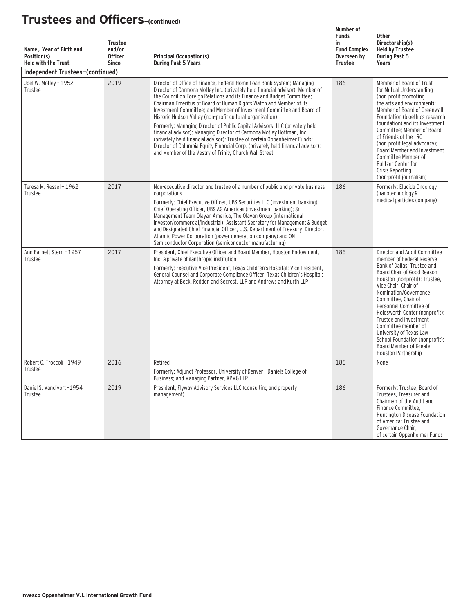| Name, Year of Birth and<br>Position(s)<br><b>Held with the Trust</b> | <b>Trustee</b><br>and/or<br><b>Officer</b><br><b>Since</b> | <b>Principal Occupation(s)</b><br><b>During Past 5 Years</b>                                                                                                                                                                                                                                                                                                                                                                                                                                                                                                                                                                                                                                                                                                                                                                    | Number of<br><b>Funds</b><br>in<br><b>Fund Complex</b><br>Overseen by<br><b>Trustee</b> | <b>Other</b><br>Directorship(s)<br><b>Held by Trustee</b><br><b>During Past 5</b><br><b>Years</b>                                                                                                                                                                                                                                                                                                                                                           |
|----------------------------------------------------------------------|------------------------------------------------------------|---------------------------------------------------------------------------------------------------------------------------------------------------------------------------------------------------------------------------------------------------------------------------------------------------------------------------------------------------------------------------------------------------------------------------------------------------------------------------------------------------------------------------------------------------------------------------------------------------------------------------------------------------------------------------------------------------------------------------------------------------------------------------------------------------------------------------------|-----------------------------------------------------------------------------------------|-------------------------------------------------------------------------------------------------------------------------------------------------------------------------------------------------------------------------------------------------------------------------------------------------------------------------------------------------------------------------------------------------------------------------------------------------------------|
| Independent Trustees-(continued)                                     |                                                            |                                                                                                                                                                                                                                                                                                                                                                                                                                                                                                                                                                                                                                                                                                                                                                                                                                 |                                                                                         |                                                                                                                                                                                                                                                                                                                                                                                                                                                             |
| Joel W. Motley - 1952<br>Trustee                                     | 2019                                                       | Director of Office of Finance, Federal Home Loan Bank System; Managing<br>Director of Carmona Motley Inc. (privately held financial advisor); Member of<br>the Council on Foreign Relations and its Finance and Budget Committee;<br>Chairman Emeritus of Board of Human Rights Watch and Member of its<br>Investment Committee; and Member of Investment Committee and Board of<br>Historic Hudson Valley (non-profit cultural organization)<br>Formerly: Managing Director of Public Capital Advisors, LLC (privately held<br>financial advisor); Managing Director of Carmona Motley Hoffman, Inc.<br>(privately held financial advisor); Trustee of certain Oppenheimer Funds;<br>Director of Columbia Equity Financial Corp. (privately held financial advisor);<br>and Member of the Vestry of Trinity Church Wall Street | 186                                                                                     | Member of Board of Trust<br>for Mutual Understanding<br>(non-profit promoting<br>the arts and environment);<br>Member of Board of Greenwall<br>Foundation (bioethics research<br>foundation) and its Investment<br>Committee: Member of Board<br>of Friends of the LRC<br>(non-profit legal advocacy);<br>Board Member and Investment<br>Committee Member of<br>Pulitzer Center for<br>Crisis Reporting<br>(non-profit journalism)                          |
| Teresa M. Ressel - 1962<br>Trustee                                   | 2017                                                       | Non-executive director and trustee of a number of public and private business<br>corporations<br>Formerly: Chief Executive Officer, UBS Securities LLC (investment banking);<br>Chief Operating Officer, UBS AG Americas (investment banking); Sr.<br>Management Team Olayan America, The Olayan Group (international<br>investor/commercial/industrial); Assistant Secretary for Management & Budget<br>and Designated Chief Financial Officer, U.S. Department of Treasury; Director,<br>Atlantic Power Corporation (power generation company) and ON<br>Semiconductor Corporation (semiconductor manufacturing)                                                                                                                                                                                                              | 186                                                                                     | Formerly: Elucida Oncology<br>(nanotechnology &<br>medical particles company)                                                                                                                                                                                                                                                                                                                                                                               |
| Ann Barnett Stern - 1957<br>Trustee                                  | 2017                                                       | President, Chief Executive Officer and Board Member, Houston Endowment,<br>Inc. a private philanthropic institution<br>Formerly: Executive Vice President, Texas Children's Hospital; Vice President,<br>General Counsel and Corporate Compliance Officer, Texas Children's Hospital;<br>Attorney at Beck, Redden and Secrest, LLP and Andrews and Kurth LLP                                                                                                                                                                                                                                                                                                                                                                                                                                                                    | 186                                                                                     | Director and Audit Committee<br>member of Federal Reserve<br>Bank of Dallas; Trustee and<br>Board Chair of Good Reason<br>Houston (nonprofit); Trustee,<br>Vice Chair, Chair of<br>Nomination/Governance<br>Committee, Chair of<br>Personnel Committee of<br>Holdsworth Center (nonprofit);<br>Trustee and Investment<br>Committee member of<br>University of Texas Law<br>School Foundation (nonprofit):<br>Board Member of Greater<br>Houston Partnership |
| Robert C. Troccoli - 1949<br>Trustee                                 | 2016                                                       | Retired<br>Formerly: Adjunct Professor, University of Denver - Daniels College of<br>Business; and Managing Partner, KPMG LLP                                                                                                                                                                                                                                                                                                                                                                                                                                                                                                                                                                                                                                                                                                   | 186                                                                                     | None                                                                                                                                                                                                                                                                                                                                                                                                                                                        |
| Daniel S. Vandivort -1954<br>Trustee                                 | 2019                                                       | President, Flyway Advisory Services LLC (consulting and property<br>management)                                                                                                                                                                                                                                                                                                                                                                                                                                                                                                                                                                                                                                                                                                                                                 | 186                                                                                     | Formerly: Trustee, Board of<br>Trustees, Treasurer and<br>Chairman of the Audit and<br>Finance Committee,<br>Huntington Disease Foundation<br>of America; Trustee and<br>Governance Chair,<br>of certain Oppenheimer Funds                                                                                                                                                                                                                                  |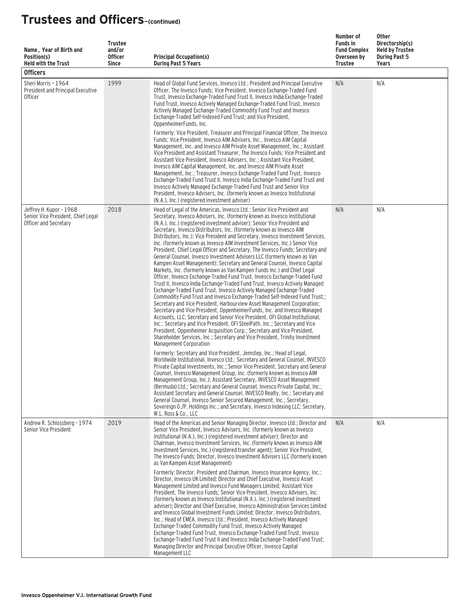| Name, Year of Birth and<br>Position(s)<br><b>Held with the Trust</b><br><b>Officers</b> | <b>Trustee</b><br>and/or<br><b>Officer</b><br><b>Since</b> | <b>Principal Occupation(s)</b><br><b>During Past 5 Years</b>                                                                                                                                                                                                                                                                                                                                                                                                                                                                                                                                                                                                                                                                                                                                                                                                                                                                                                                                                                                                                                                                                                                                                                                                                                                                                                                                                                                                                                                                                                                                                                 | Number of<br><b>Funds in</b><br><b>Fund Complex</b><br>Overseen by<br>Trustee | Other<br>Directorship(s)<br><b>Held by Trustee</b><br><b>During Past 5</b><br>Years |
|-----------------------------------------------------------------------------------------|------------------------------------------------------------|------------------------------------------------------------------------------------------------------------------------------------------------------------------------------------------------------------------------------------------------------------------------------------------------------------------------------------------------------------------------------------------------------------------------------------------------------------------------------------------------------------------------------------------------------------------------------------------------------------------------------------------------------------------------------------------------------------------------------------------------------------------------------------------------------------------------------------------------------------------------------------------------------------------------------------------------------------------------------------------------------------------------------------------------------------------------------------------------------------------------------------------------------------------------------------------------------------------------------------------------------------------------------------------------------------------------------------------------------------------------------------------------------------------------------------------------------------------------------------------------------------------------------------------------------------------------------------------------------------------------------|-------------------------------------------------------------------------------|-------------------------------------------------------------------------------------|
| Sheri Morris - 1964<br>President and Principal Executive<br><b>Officer</b>              | 1999                                                       | Head of Global Fund Services, Invesco Ltd.; President and Principal Executive<br>Officer, The Invesco Funds; Vice President, Invesco Exchange-Traded Fund<br>Trust, Invesco Exchange-Traded Fund Trust II, Invesco India Exchange-Traded<br>Fund Trust, Invesco Actively Managed Exchange-Traded Fund Trust, Invesco<br>Actively Managed Exchange-Traded Commodity Fund Trust and Invesco<br>Exchange-Traded Self-Indexed Fund Trust: and Vice President.<br>OppenheimerFunds, Inc.<br>Formerly: Vice President, Treasurer and Principal Financial Officer, The Invesco<br>Funds; Vice President, Invesco AIM Advisers, Inc., Invesco AIM Capital<br>Management, Inc. and Invesco AIM Private Asset Management, Inc.; Assistant<br>Vice President and Assistant Treasurer, The Invesco Funds; Vice President and<br>Assistant Vice President, Invesco Advisers, Inc.; Assistant Vice President,<br>Invesco AIM Capital Management, Inc. and Invesco AIM Private Asset<br>Management, Inc.; Treasurer, Invesco Exchange-Traded Fund Trust, Invesco<br>Exchange-Traded Fund Trust II, Invesco India Exchange-Traded Fund Trust and<br>Invesco Actively Managed Exchange-Traded Fund Trust and Senior Vice<br>President, Invesco Advisers, Inc. (formerly known as Invesco Institutional<br>(N.A.), Inc.) (registered investment adviser)                                                                                                                                                                                                                                                                                       | N/A                                                                           | N/A                                                                                 |
| Jeffrey H. Kupor - 1968<br>Senior Vice President, Chief Legal<br>Officer and Secretary  | 2018                                                       | Head of Legal of the Americas, Invesco Ltd.; Senior Vice President and<br>Secretary, Invesco Advisers, Inc. (formerly known as Invesco Institutional<br>(N.A.), Inc.) (registered investment adviser); Senior Vice President and<br>Secretary, Invesco Distributors, Inc. (formerly known as Invesco AIM<br>Distributors, Inc.); Vice President and Secretary, Invesco Investment Services,<br>Inc. (formerly known as Invesco AIM Investment Services, Inc.) Senior Vice<br>President, Chief Legal Officer and Secretary, The Invesco Funds; Secretary and<br>General Counsel, Invesco Investment Advisers LLC (formerly known as Van<br>Kampen Asset Management); Secretary and General Counsel, Invesco Capital<br>Markets, Inc. (formerly known as Van Kampen Funds Inc.) and Chief Legal<br>Officer, Invesco Exchange-Traded Fund Trust, Invesco Exchange-Traded Fund<br>Trust II, Invesco India Exchange-Traded Fund Trust, Invesco Actively Managed<br>Exchange-Traded Fund Trust, Invesco Actively Managed Exchange-Traded<br>Commodity Fund Trust and Invesco Exchange-Traded Self-Indexed Fund Trust;;<br>Secretary and Vice President, Harbourview Asset Management Corporation;<br>Secretary and Vice President, OppenheimerFunds, Inc. and Invesco Managed<br>Accounts, LLC; Secretary and Senior Vice President, OFI Global Institutional,<br>Inc.; Secretary and Vice President, OFI SteelPath, Inc.; Secretary and Vice<br>President, Oppenheimer Acquisition Corp.; Secretary and Vice President,<br>Shareholder Services, Inc.; Secretary and Vice President, Trinity Investment<br>Management Corporation | N/A                                                                           | N/A                                                                                 |
|                                                                                         |                                                            | Formerly: Secretary and Vice President, Jemstep, Inc.; Head of Legal,<br>Worldwide Institutional, Invesco Ltd.; Secretary and General Counsel, INVESCO<br>Private Capital Investments, Inc.; Senior Vice President, Secretary and General<br>Counsel, Invesco Management Group, Inc. (formerly known as Invesco AIM<br>Management Group, Inc.); Assistant Secretary, INVESCO Asset Management<br>(Bermuda) Ltd.; Secretary and General Counsel, Invesco Private Capital, Inc.;<br>Assistant Secretary and General Counsel, INVESCO Realty, Inc.; Secretary and<br>General Counsel, Invesco Senior Secured Management, Inc.; Secretary,<br>Sovereign G./P. Holdings Inc.; and Secretary, Invesco Indexing LLC; Secretary,<br>W.L. Ross & Co., LLC                                                                                                                                                                                                                                                                                                                                                                                                                                                                                                                                                                                                                                                                                                                                                                                                                                                                             |                                                                               |                                                                                     |
| Andrew R. Schlossberg - 1974<br>Senior Vice President                                   | 2019                                                       | Head of the Americas and Senior Managing Director, Invesco Ltd.; Director and<br>Senior Vice President, Invesco Advisers, Inc. (formerly known as Invesco<br>Institutional (N.A.), Inc.) (registered investment adviser); Director and<br>Chairman, Invesco Investment Services, Inc. (formerly known as Invesco AIM<br>Investment Services, Inc.) (registered transfer agent); Senior Vice President,<br>The Invesco Funds: Director, Invesco Investment Advisers LLC (formerly known<br>as Van Kampen Asset Management)<br>Formerly: Director, President and Chairman, Invesco Insurance Agency, Inc.:<br>Director, Invesco UK Limited; Director and Chief Executive, Invesco Asset<br>Management Limited and Invesco Fund Managers Limited; Assistant Vice<br>President, The Invesco Funds; Senior Vice President, Invesco Advisers, Inc.<br>(formerly known as Invesco Institutional (N.A.), Inc.) (registered investment<br>adviser); Director and Chief Executive, Invesco Administration Services Limited<br>and Invesco Global Investment Funds Limited; Director, Invesco Distributors,<br>Inc.; Head of EMEA, Invesco Ltd.; President, Invesco Actively Managed<br>Exchange-Traded Commodity Fund Trust, Invesco Actively Managed<br>Exchange-Traded Fund Trust, Invesco Exchange-Traded Fund Trust, Invesco<br>Exchange-Traded Fund Trust II and Invesco India Exchange-Traded Fund Trust;<br>Managing Director and Principal Executive Officer, Invesco Capital                                                                                                                                                  | N/A                                                                           | N/A                                                                                 |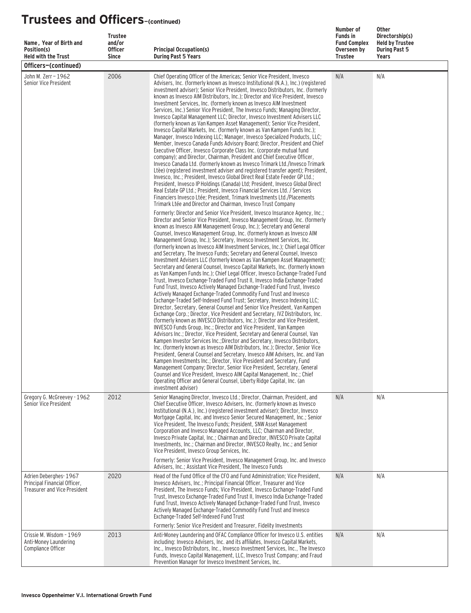| Name, Year of Birth and<br>Position(s)<br><b>Held with the Trust</b>                         | <b>Trustee</b><br>and/or<br><b>Officer</b><br><b>Since</b> | <b>Principal Occupation(s)</b><br><b>During Past 5 Years</b>                                                                                                                                                                                                                                                                                                                                                                                                                                                                                                                                                                                                                                                                                                                                                                                                                                                                                                                                                                                                                                                                                                                                                                                                                                                                                                                                                                                                                                                                                                                                                                                                                                                                                                                                                                                                                                                                                                                                                                                                                                          | Number of<br><b>Funds in</b><br><b>Fund Complex</b><br>Overseen by<br><b>Trustee</b> | <b>Other</b><br>Directorship(s)<br><b>Held by Trustee</b><br><b>During Past 5</b><br>Years |
|----------------------------------------------------------------------------------------------|------------------------------------------------------------|-------------------------------------------------------------------------------------------------------------------------------------------------------------------------------------------------------------------------------------------------------------------------------------------------------------------------------------------------------------------------------------------------------------------------------------------------------------------------------------------------------------------------------------------------------------------------------------------------------------------------------------------------------------------------------------------------------------------------------------------------------------------------------------------------------------------------------------------------------------------------------------------------------------------------------------------------------------------------------------------------------------------------------------------------------------------------------------------------------------------------------------------------------------------------------------------------------------------------------------------------------------------------------------------------------------------------------------------------------------------------------------------------------------------------------------------------------------------------------------------------------------------------------------------------------------------------------------------------------------------------------------------------------------------------------------------------------------------------------------------------------------------------------------------------------------------------------------------------------------------------------------------------------------------------------------------------------------------------------------------------------------------------------------------------------------------------------------------------------|--------------------------------------------------------------------------------------|--------------------------------------------------------------------------------------------|
| Officers-(continued)                                                                         |                                                            |                                                                                                                                                                                                                                                                                                                                                                                                                                                                                                                                                                                                                                                                                                                                                                                                                                                                                                                                                                                                                                                                                                                                                                                                                                                                                                                                                                                                                                                                                                                                                                                                                                                                                                                                                                                                                                                                                                                                                                                                                                                                                                       |                                                                                      |                                                                                            |
| John M. Zerr - 1962<br>Senior Vice President                                                 | 2006                                                       | Chief Operating Officer of the Americas; Senior Vice President, Invesco<br>Advisers, Inc. (formerly known as Invesco Institutional (N.A.), Inc.) (registered<br>investment adviser); Senior Vice President, Invesco Distributors, Inc. (formerly<br>known as Invesco AIM Distributors, Inc.); Director and Vice President, Invesco<br>Investment Services, Inc. (formerly known as Invesco AIM Investment<br>Services, Inc.) Senior Vice President, The Invesco Funds; Managing Director,<br>Invesco Capital Management LLC; Director, Invesco Investment Advisers LLC<br>(formerly known as Van Kampen Asset Management); Senior Vice President,<br>Invesco Capital Markets, Inc. (formerly known as Van Kampen Funds Inc.);<br>Manager, Invesco Indexing LLC; Manager, Invesco Specialized Products, LLC;<br>Member, Invesco Canada Funds Advisory Board; Director, President and Chief<br>Executive Officer, Invesco Corporate Class Inc. (corporate mutual fund<br>company); and Director, Chairman, President and Chief Executive Officer,<br>Invesco Canada Ltd. (formerly known as Invesco Trimark Ltd./Invesco Trimark<br>Ltèe) (registered investment adviser and registered transfer agent); President,<br>Invesco, Inc.; President, Invesco Global Direct Real Estate Feeder GP Ltd.;<br>President, Invesco IP Holdings (Canada) Ltd: President, Invesco Global Direct<br>Real Estate GP Ltd.; President, Invesco Financial Services Ltd. / Services<br>Financiers Invesco Ltée: President, Trimark Investments Ltd./Placements<br>Trimark Ltée and Director and Chairman, Invesco Trust Company                                                                                                                                                                                                                                                                                                                                                                                                                                                                                           | N/A                                                                                  | N/A                                                                                        |
|                                                                                              |                                                            | Formerly: Director and Senior Vice President, Invesco Insurance Agency, Inc.;<br>Director and Senior Vice President, Invesco Management Group, Inc. (formerly<br>known as Invesco AIM Management Group, Inc.); Secretary and General<br>Counsel, Invesco Management Group, Inc. (formerly known as Invesco AIM<br>Management Group, Inc.); Secretary, Invesco Investment Services, Inc.<br>(formerly known as Invesco AIM Investment Services, Inc.); Chief Legal Officer<br>and Secretary, The Invesco Funds; Secretary and General Counsel, Invesco<br>Investment Advisers LLC (formerly known as Van Kampen Asset Management);<br>Secretary and General Counsel, Invesco Capital Markets, Inc. (formerly known<br>as Van Kampen Funds Inc.); Chief Legal Officer, Invesco Exchange-Traded Fund<br>Trust, Invesco Exchange-Traded Fund Trust II, Invesco India Exchange-Traded<br>Fund Trust, Invesco Actively Managed Exchange-Traded Fund Trust, Invesco<br>Actively Managed Exchange-Traded Commodity Fund Trust and Invesco<br>Exchange-Traded Self-Indexed Fund Trust; Secretary, Invesco Indexing LLC;<br>Director, Secretary, General Counsel and Senior Vice President, Van Kampen<br>Exchange Corp.; Director, Vice President and Secretary, IVZ Distributors, Inc.<br>(formerly known as INVESCO Distributors, Inc.); Director and Vice President,<br>INVESCO Funds Group, Inc.; Director and Vice President, Van Kampen<br>Advisors Inc.; Director, Vice President, Secretary and General Counsel, Van<br>Kampen Investor Services Inc.: Director and Secretary, Invesco Distributors.<br>Inc. (formerly known as Invesco AIM Distributors, Inc.); Director, Senior Vice<br>President, General Counsel and Secretary, Invesco AIM Advisers, Inc. and Van<br>Kampen Investments Inc.; Director, Vice President and Secretary, Fund<br>Management Company; Director, Senior Vice President, Secretary, General<br>Counsel and Vice President, Invesco AIM Capital Management, Inc.; Chief<br>Operating Officer and General Counsel, Liberty Ridge Capital, Inc. (an<br>investment adviser) |                                                                                      |                                                                                            |
| Gregory G. McGreevey - 1962<br>Senior Vice President                                         | 2012                                                       | Senior Managing Director, Invesco Ltd.; Director, Chairman, President, and<br>Chief Executive Officer, Invesco Advisers, Inc. (formerly known as Invesco<br>Institutional (N.A.), Inc.) (registered investment adviser); Director, Invesco<br>Mortgage Capital, Inc. and Invesco Senior Secured Management, Inc.; Senior<br>Vice President, The Invesco Funds; President, SNW Asset Management<br>Corporation and Invesco Managed Accounts, LLC; Chairman and Director,<br>Invesco Private Capital, Inc.; Chairman and Director, INVESCO Private Capital<br>Investments, Inc.; Chairman and Director, INVESCO Realty, Inc.; and Senior<br>Vice President, Invesco Group Services, Inc.<br>Formerly: Senior Vice President, Invesco Management Group, Inc. and Invesco                                                                                                                                                                                                                                                                                                                                                                                                                                                                                                                                                                                                                                                                                                                                                                                                                                                                                                                                                                                                                                                                                                                                                                                                                                                                                                                                 | N/A                                                                                  | N/A                                                                                        |
| Adrien Deberghes-1967<br>Principal Financial Officer,<br><b>Treasurer and Vice President</b> | 2020                                                       | Advisers, Inc.; Assistant Vice President, The Invesco Funds<br>Head of the Fund Office of the CFO and Fund Administration; Vice President,<br>Invesco Advisers, Inc.; Principal Financial Officer, Treasurer and Vice<br>President, The Invesco Funds; Vice President, Invesco Exchange-Traded Fund<br>Trust, Invesco Exchange-Traded Fund Trust II, Invesco India Exchange-Traded<br>Fund Trust, Invesco Actively Managed Exchange-Traded Fund Trust, Invesco<br>Actively Managed Exchange-Traded Commodity Fund Trust and Invesco<br>Exchange-Traded Self-Indexed Fund Trust<br>Formerly: Senior Vice President and Treasurer, Fidelity Investments                                                                                                                                                                                                                                                                                                                                                                                                                                                                                                                                                                                                                                                                                                                                                                                                                                                                                                                                                                                                                                                                                                                                                                                                                                                                                                                                                                                                                                                 | N/A                                                                                  | N/A                                                                                        |
| Crissie M. Wisdom - 1969<br>Anti-Money Laundering<br>Compliance Officer                      | 2013                                                       | Anti-Money Laundering and OFAC Compliance Officer for Invesco U.S. entities<br>including: Invesco Advisers, Inc. and its affiliates, Invesco Capital Markets,<br>Inc., Invesco Distributors, Inc., Invesco Investment Services, Inc., The Invesco<br>Funds, Invesco Capital Management, LLC, Invesco Trust Company; and Fraud<br>Prevention Manager for Invesco Investment Services, Inc.                                                                                                                                                                                                                                                                                                                                                                                                                                                                                                                                                                                                                                                                                                                                                                                                                                                                                                                                                                                                                                                                                                                                                                                                                                                                                                                                                                                                                                                                                                                                                                                                                                                                                                             | N/A                                                                                  | N/A                                                                                        |